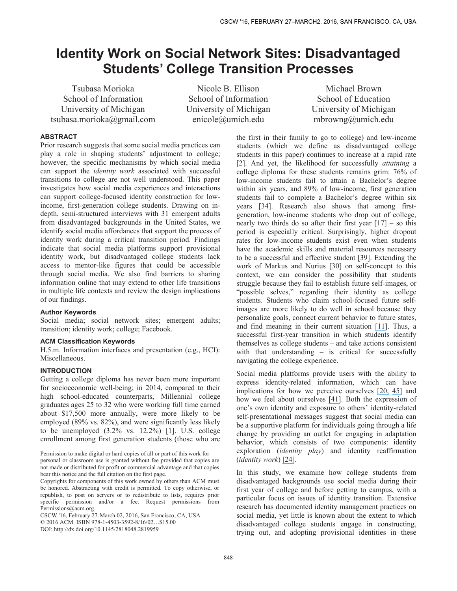# **Identity Work on Social Network Sites: Disadvantaged Students' College Transition Processes**

Tsubasa Morioka School of Information University of Michigan tsubasa.morioka@gmail.com

Nicole B. Ellison School of Information University of Michigan enicole@umich.edu

Michael Brown School of Education University of Michigan mbrowng@umich.edu

## **ABSTRACT**

Prior research suggests that some social media practices can play a role in shaping students' adjustment to college; however, the specific mechanisms by which social media can support the *identity work* associated with successful transitions to college are not well understood. This paper investigates how social media experiences and interactions can support college-focused identity construction for lowincome, first-generation college students. Drawing on indepth, semi-structured interviews with 31 emergent adults from disadvantaged backgrounds in the United States, we identify social media affordances that support the process of identity work during a critical transition period. Findings indicate that social media platforms support provisional identity work, but disadvantaged college students lack access to mentor-like figures that could be accessible through social media. We also find barriers to sharing information online that may extend to other life transitions in multiple life contexts and review the design implications of our findings.

## **Author Keywords**

Social media; social network sites; emergent adults; transition; identity work; college; Facebook.

## **ACM Classification Keywords**

H.5.m. Information interfaces and presentation (e.g., HCI): Miscellaneous.

## **INTRODUCTION**

Getting a college diploma has never been more important for socioeconomic well-being; in 2014, compared to their high school-educated counterparts, Millennial college graduates ages 25 to 32 who were working full time earned about \$17,500 more annually, were more likely to be employed (89% vs. 82%), and were significantly less likely to be unemployed (3.2% vs. 12.2%) [1]. U.S. college enrollment among first generation students (those who are

Permission to make digital or hard copies of all or part of this work for personal or classroom use is granted without fee provided that copies are not made or distributed for profit or commercial advantage and that copies bear this notice and the full citation on the first page.

Copyrights for components of this work owned by others than ACM must be honored. Abstracting with credit is permitted. To copy otherwise, or republish, to post on servers or to redistribute to lists, requires prior specific permission and/or a fee. Request permissions from Permissions@acm.org.

CSCW '16, February 27-March 02, 2016, San Francisco, CA, USA © 2016 ACM. ISBN 978-1-4503-3592-8/16/02…\$15.00 DOI: http://dx.doi.org/10.1145/2818048.2819959

the first in their family to go to college) and low-income students (which we define as disadvantaged college students in this paper) continues to increase at a rapid rate [2]. And yet, the likelihood for successfully *attaining* a college diploma for these students remains grim: 76% of low-income students fail to attain a Bachelor's degree within six years, and 89% of low-income, first generation students fail to complete a Bachelor's degree within six years [34]. Research also shows that among firstgeneration, low-income students who drop out of college, nearly two thirds do so after their first year  $[17]$  – so this period is especially critical. Surprisingly, higher dropout rates for low-income students exist even when students have the academic skills and material resources necessary to be a successful and effective student [39]. Extending the work of Markus and Nurius [30] on self-concept to this context, we can consider the possibility that students struggle because they fail to establish future self-images, or "possible selves," regarding their identity as college students. Students who claim school-focused future selfimages are more likely to do well in school because they personalize goals, connect current behavior to future states, and find meaning in their current situation [\[11\]](https://www.researchgate.net/publication/232585531_Self-Schemas_Possible_Selves_and_Competent_Performance?el=1_x_8&enrichId=rgreq-68524b59c56a2362297d5e2f74b121c2-XXX&enrichSource=Y292ZXJQYWdlOzMwMjY5NTAyNTtBUzozNjAyMTQwNTEyMTMzMTZAMTQ2Mjg5MzEzMDgwOA==). Thus, a successful first-year transition in which students identify themselves as college students – and take actions consistent with that understanding – is critical for successfully navigating the college experience.

Social media platforms provide users with the ability to express identity-related information, which can have implications for how we perceive ourselves [\[20,](https://www.researchgate.net/publication/49843871_Mirror_Mirror_on_My_Facebook_Wall_Effects_of_Exposure_to_Facebook_on_Self-Esteem?el=1_x_8&enrichId=rgreq-68524b59c56a2362297d5e2f74b121c2-XXX&enrichSource=Y292ZXJQYWdlOzMwMjY5NTAyNTtBUzozNjAyMTQwNTEyMTMzMTZAMTQ2Mjg5MzEzMDgwOA==) [45\]](https://www.researchgate.net/publication/285323169_Theories_of_computer-mediated_communication_and_interpersonal_relations?el=1_x_8&enrichId=rgreq-68524b59c56a2362297d5e2f74b121c2-XXX&enrichSource=Y292ZXJQYWdlOzMwMjY5NTAyNTtBUzozNjAyMTQwNTEyMTMzMTZAMTQ2Mjg5MzEzMDgwOA==) and how we feel about ourselves [\[41\]](https://www.researchgate.net/publication/221519564_Affirming_the_self_through_online_profiles_Beneficial_effects_of_social_networking_sites?el=1_x_8&enrichId=rgreq-68524b59c56a2362297d5e2f74b121c2-XXX&enrichSource=Y292ZXJQYWdlOzMwMjY5NTAyNTtBUzozNjAyMTQwNTEyMTMzMTZAMTQ2Mjg5MzEzMDgwOA==). Both the expression of one's own identity and exposure to others' identity-related self-presentational messages suggest that social media can be a supportive platform for individuals going through a life change by providing an outlet for engaging in adaptation behavior, which consists of two components: identity exploration (*identity play*) and identity reaffirmation (*identity work*) [\[24\]](https://www.researchgate.net/publication/247292037_Provisional_Selves_Experimenting_With_Image_and_Identity_in_Professional_Adaptation?el=1_x_8&enrichId=rgreq-68524b59c56a2362297d5e2f74b121c2-XXX&enrichSource=Y292ZXJQYWdlOzMwMjY5NTAyNTtBUzozNjAyMTQwNTEyMTMzMTZAMTQ2Mjg5MzEzMDgwOA==).

In this study, we examine how college students from disadvantaged backgrounds use social media during their first year of college and before getting to campus, with a particular focus on issues of identity transition. Extensive research has documented identity management practices on social media, yet little is known about the extent to which disadvantaged college students engage in constructing, trying out, and adopting provisional identities in these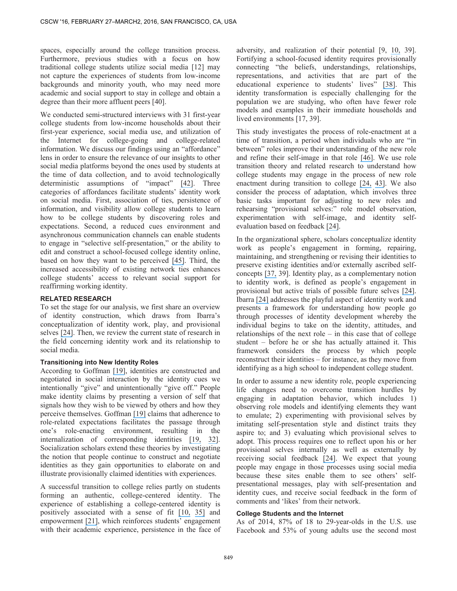spaces, especially around the college transition process. Furthermore, previous studies with a focus on how traditional college students utilize social media [12] may not capture the experiences of students from low-income backgrounds and minority youth, who may need more academic and social support to stay in college and obtain a degree than their more affluent peers [40].

We conducted semi-structured interviews with 31 first-year college students from low-income households about their first-year experience, social media use, and utilization of the Internet for college-going and college-related information. We discuss our findings using an "affordance" lens in order to ensure the relevance of our insights to other social media platforms beyond the ones used by students at the time of data collection, and to avoid technologically deterministic assumptions of "impact" [\[42\]](https://www.researchgate.net/publication/256030879_Social_Media_Use_in_Organizations_Exploring_the_Affordances_of_Visibility_Editability_Persistence_and_Association?el=1_x_8&enrichId=rgreq-68524b59c56a2362297d5e2f74b121c2-XXX&enrichSource=Y292ZXJQYWdlOzMwMjY5NTAyNTtBUzozNjAyMTQwNTEyMTMzMTZAMTQ2Mjg5MzEzMDgwOA==). Three categories of affordances facilitate students' identity work on social media. First, association of ties, persistence of information, and visibility allow college students to learn how to be college students by discovering roles and expectations. Second, a reduced cues environment and asynchronous communication channels can enable students to engage in "selective self-presentation," or the ability to edit and construct a school-focused college identity online, based on how they want to be perceived [\[45\]](https://www.researchgate.net/publication/285323169_Theories_of_computer-mediated_communication_and_interpersonal_relations?el=1_x_8&enrichId=rgreq-68524b59c56a2362297d5e2f74b121c2-XXX&enrichSource=Y292ZXJQYWdlOzMwMjY5NTAyNTtBUzozNjAyMTQwNTEyMTMzMTZAMTQ2Mjg5MzEzMDgwOA==). Third, the increased accessibility of existing network ties enhances college students' access to relevant social support for reaffirming working identity.

## **RELATED RESEARCH**

To set the stage for our analysis, we first share an overview of identity construction, which draws from Ibarra's conceptualization of identity work, play, and provisional selves [\[24\]](https://www.researchgate.net/publication/247292037_Provisional_Selves_Experimenting_With_Image_and_Identity_in_Professional_Adaptation?el=1_x_8&enrichId=rgreq-68524b59c56a2362297d5e2f74b121c2-XXX&enrichSource=Y292ZXJQYWdlOzMwMjY5NTAyNTtBUzozNjAyMTQwNTEyMTMzMTZAMTQ2Mjg5MzEzMDgwOA==). Then, we review the current state of research in the field concerning identity work and its relationship to social media.

## **Transitioning into New Identity Roles**

According to Goffman [\[19\]](https://www.researchgate.net/publication/256600143_The_Presentation_of_Self_In_Everyday_Life?el=1_x_8&enrichId=rgreq-68524b59c56a2362297d5e2f74b121c2-XXX&enrichSource=Y292ZXJQYWdlOzMwMjY5NTAyNTtBUzozNjAyMTQwNTEyMTMzMTZAMTQ2Mjg5MzEzMDgwOA==), identities are constructed and negotiated in social interaction by the identity cues we intentionally "give" and unintentionally "give off." People make identity claims by presenting a version of self that signals how they wish to be viewed by others and how they perceive themselves. Goffman [\[19\]](https://www.researchgate.net/publication/256600143_The_Presentation_of_Self_In_Everyday_Life?el=1_x_8&enrichId=rgreq-68524b59c56a2362297d5e2f74b121c2-XXX&enrichSource=Y292ZXJQYWdlOzMwMjY5NTAyNTtBUzozNjAyMTQwNTEyMTMzMTZAMTQ2Mjg5MzEzMDgwOA==) claims that adherence to role-related expectations facilitates the passage through one's role-enacting environment, resulting in the internalization of corresponding identities [\[19,](https://www.researchgate.net/publication/256600143_The_Presentation_of_Self_In_Everyday_Life?el=1_x_8&enrichId=rgreq-68524b59c56a2362297d5e2f74b121c2-XXX&enrichSource=Y292ZXJQYWdlOzMwMjY5NTAyNTtBUzozNjAyMTQwNTEyMTMzMTZAMTQ2Mjg5MzEzMDgwOA==) [32\]](https://www.researchgate.net/publication/232481964_Effective_supervision_A_task-oriented_model_for_the_mental_health_professions?el=1_x_8&enrichId=rgreq-68524b59c56a2362297d5e2f74b121c2-XXX&enrichSource=Y292ZXJQYWdlOzMwMjY5NTAyNTtBUzozNjAyMTQwNTEyMTMzMTZAMTQ2Mjg5MzEzMDgwOA==). Socialization scholars extend these theories by investigating the notion that people continue to construct and negotiate identities as they gain opportunities to elaborate on and illustrate provisionally claimed identities with experiences.

A successful transition to college relies partly on students forming an authentic, college-centered identity. The experience of establishing a college-centered identity is positively associated with a sense of fit [\[10,](https://www.researchgate.net/publication/51797033_Chronic_Threat_and_Contingent_Belonging_Protective_Benefits_of_Values_Affirmation_on_Identity_Development?el=1_x_8&enrichId=rgreq-68524b59c56a2362297d5e2f74b121c2-XXX&enrichSource=Y292ZXJQYWdlOzMwMjY5NTAyNTtBUzozNjAyMTQwNTEyMTMzMTZAMTQ2Mjg5MzEzMDgwOA==) [35\]](https://www.researchgate.net/publication/235905618_Demystifying_Values-Affirmation_Interventions_Writing_About_Social_Belonging_Is_a_Key_to_Buffering_Against_Identity_Threat?el=1_x_8&enrichId=rgreq-68524b59c56a2362297d5e2f74b121c2-XXX&enrichSource=Y292ZXJQYWdlOzMwMjY5NTAyNTtBUzozNjAyMTQwNTEyMTMzMTZAMTQ2Mjg5MzEzMDgwOA==) and empowerment [\[21\]](https://www.researchgate.net/publication/281453342_Dialogue_Across_Difference_Practice_Theory_and_Research_on_Intergroup_Dialogue?el=1_x_8&enrichId=rgreq-68524b59c56a2362297d5e2f74b121c2-XXX&enrichSource=Y292ZXJQYWdlOzMwMjY5NTAyNTtBUzozNjAyMTQwNTEyMTMzMTZAMTQ2Mjg5MzEzMDgwOA==), which reinforces students' engagement with their academic experience, persistence in the face of adversity, and realization of their potential [9, [10,](https://www.researchgate.net/publication/51797033_Chronic_Threat_and_Contingent_Belonging_Protective_Benefits_of_Values_Affirmation_on_Identity_Development?el=1_x_8&enrichId=rgreq-68524b59c56a2362297d5e2f74b121c2-XXX&enrichSource=Y292ZXJQYWdlOzMwMjY5NTAyNTtBUzozNjAyMTQwNTEyMTMzMTZAMTQ2Mjg5MzEzMDgwOA==) 39]. Fortifying a school-focused identity requires provisionally connecting "the beliefs, understandings, relationships, representations, and activities that are part of the educational experience to students' lives" [\[38\]](https://www.researchgate.net/publication/270598048_Feeling_at_Home_in_College_Fortifying_School-Relevant_Selves_to_Reduce_Social_Class_Disparities_in_Higher_Education?el=1_x_8&enrichId=rgreq-68524b59c56a2362297d5e2f74b121c2-XXX&enrichSource=Y292ZXJQYWdlOzMwMjY5NTAyNTtBUzozNjAyMTQwNTEyMTMzMTZAMTQ2Mjg5MzEzMDgwOA==). This identity transformation is especially challenging for the population we are studying, who often have fewer role models and examples in their immediate households and lived environments [17, 39].

This study investigates the process of role-enactment at a time of transition, a period when individuals who are "in between" roles improve their understanding of the new role and refine their self-image in that role [\[46\]](https://www.researchgate.net/publication/243771070_Organizational_Learning_Affirming_an_Oxymoron?el=1_x_8&enrichId=rgreq-68524b59c56a2362297d5e2f74b121c2-XXX&enrichSource=Y292ZXJQYWdlOzMwMjY5NTAyNTtBUzozNjAyMTQwNTEyMTMzMTZAMTQ2Mjg5MzEzMDgwOA==). We use role transition theory and related research to understand how college students may engage in the process of new role enactment during transition to college [\[24,](https://www.researchgate.net/publication/247292037_Provisional_Selves_Experimenting_With_Image_and_Identity_in_Professional_Adaptation?el=1_x_8&enrichId=rgreq-68524b59c56a2362297d5e2f74b121c2-XXX&enrichSource=Y292ZXJQYWdlOzMwMjY5NTAyNTtBUzozNjAyMTQwNTEyMTMzMTZAMTQ2Mjg5MzEzMDgwOA==) [43\]](https://www.researchgate.net/publication/5175507_Toward_a_Theory_of_Organized_Socialization?el=1_x_8&enrichId=rgreq-68524b59c56a2362297d5e2f74b121c2-XXX&enrichSource=Y292ZXJQYWdlOzMwMjY5NTAyNTtBUzozNjAyMTQwNTEyMTMzMTZAMTQ2Mjg5MzEzMDgwOA==). We also consider the process of adaptation, which involves three basic tasks important for adjusting to new roles and rehearsing "provisional selves:" role model observation, experimentation with self-image, and identity selfevaluation based on feedback [\[24\]](https://www.researchgate.net/publication/247292037_Provisional_Selves_Experimenting_With_Image_and_Identity_in_Professional_Adaptation?el=1_x_8&enrichId=rgreq-68524b59c56a2362297d5e2f74b121c2-XXX&enrichSource=Y292ZXJQYWdlOzMwMjY5NTAyNTtBUzozNjAyMTQwNTEyMTMzMTZAMTQ2Mjg5MzEzMDgwOA==).

In the organizational sphere, scholars conceptualize identity work as people's engagement in forming, repairing, maintaining, and strengthening or revising their identities to preserve existing identities and/or externally ascribed selfconcepts [\[37,](https://www.researchgate.net/publication/249173990_Identity_Work_Among_the_Homeless_The_Verbal_Construction_and_Avowal_of_Personal_Identities?el=1_x_8&enrichId=rgreq-68524b59c56a2362297d5e2f74b121c2-XXX&enrichSource=Y292ZXJQYWdlOzMwMjY5NTAyNTtBUzozNjAyMTQwNTEyMTMzMTZAMTQ2Mjg5MzEzMDgwOA==) 39]. Identity play, as a complementary notion to identity work, is defined as people's engagement in provisional but active trials of possible future selves [\[24\]](https://www.researchgate.net/publication/247292037_Provisional_Selves_Experimenting_With_Image_and_Identity_in_Professional_Adaptation?el=1_x_8&enrichId=rgreq-68524b59c56a2362297d5e2f74b121c2-XXX&enrichSource=Y292ZXJQYWdlOzMwMjY5NTAyNTtBUzozNjAyMTQwNTEyMTMzMTZAMTQ2Mjg5MzEzMDgwOA==). Ibarra [\[24\]](https://www.researchgate.net/publication/247292037_Provisional_Selves_Experimenting_With_Image_and_Identity_in_Professional_Adaptation?el=1_x_8&enrichId=rgreq-68524b59c56a2362297d5e2f74b121c2-XXX&enrichSource=Y292ZXJQYWdlOzMwMjY5NTAyNTtBUzozNjAyMTQwNTEyMTMzMTZAMTQ2Mjg5MzEzMDgwOA==) addresses the playful aspect of identity work and presents a framework for understanding how people go through processes of identity development whereby the individual begins to take on the identity, attitudes, and relationships of the next role  $-$  in this case that of college student – before he or she has actually attained it. This framework considers the process by which people reconstruct their identities – for instance, as they move from identifying as a high school to independent college student.

In order to assume a new identity role, people experiencing life changes need to overcome transition hurdles by engaging in adaptation behavior, which includes 1) observing role models and identifying elements they want to emulate; 2) experimenting with provisional selves by imitating self-presentation style and distinct traits they aspire to; and 3) evaluating which provisional selves to adopt. This process requires one to reflect upon his or her provisional selves internally as well as externally by receiving social feedback [\[24\]](https://www.researchgate.net/publication/247292037_Provisional_Selves_Experimenting_With_Image_and_Identity_in_Professional_Adaptation?el=1_x_8&enrichId=rgreq-68524b59c56a2362297d5e2f74b121c2-XXX&enrichSource=Y292ZXJQYWdlOzMwMjY5NTAyNTtBUzozNjAyMTQwNTEyMTMzMTZAMTQ2Mjg5MzEzMDgwOA==). We expect that young people may engage in those processes using social media because these sites enable them to see others' selfpresentational messages, play with self-presentation and identity cues, and receive social feedback in the form of comments and 'likes' from their network.

# **College Students and the Internet**

As of 2014, 87% of 18 to 29-year-olds in the U.S. use Facebook and 53% of young adults use the second most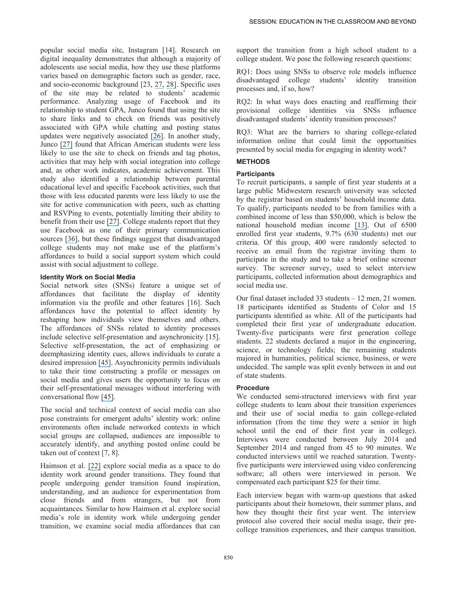popular social media site, Instagram [14]. Research on digital inequality demonstrates that although a majority of adolescents use social media, how they use these platforms varies based on demographic factors such as gender, race, and socio-economic background [23, [27,](https://www.researchgate.net/publication/257253228_Inequalities_in_Facebook_use?el=1_x_8&enrichId=rgreq-68524b59c56a2362297d5e2f74b121c2-XXX&enrichSource=Y292ZXJQYWdlOzMwMjY5NTAyNTtBUzozNjAyMTQwNTEyMTMzMTZAMTQ2Mjg5MzEzMDgwOA==) [28\]](https://www.researchgate.net/publication/49669042_The_Effect_of_Gender_Ethnicity_and_Income_on_College_Students). Specific uses of the site may be related to students' academic performance. Analyzing usage of Facebook and its relationship to student GPA, Junco found that using the site to share links and to check on friends was positively associated with GPA while chatting and posting status updates were negatively associated [\[26\]](https://www.researchgate.net/publication/220030165_Too_much_face_and_not_enough_books_The_relationship_between_multiple_indices_of_Facebook_use_and_academic_performance?el=1_x_8&enrichId=rgreq-68524b59c56a2362297d5e2f74b121c2-XXX&enrichSource=Y292ZXJQYWdlOzMwMjY5NTAyNTtBUzozNjAyMTQwNTEyMTMzMTZAMTQ2Mjg5MzEzMDgwOA==). In another study, Junco [\[27\]](https://www.researchgate.net/publication/257253228_Inequalities_in_Facebook_use?el=1_x_8&enrichId=rgreq-68524b59c56a2362297d5e2f74b121c2-XXX&enrichSource=Y292ZXJQYWdlOzMwMjY5NTAyNTtBUzozNjAyMTQwNTEyMTMzMTZAMTQ2Mjg5MzEzMDgwOA==) found that African American students were less likely to use the site to check on friends and tag photos, activities that may help with social integration into college and, as other work indicates, academic achievement. This study also identified a relationship between parental educational level and specific Facebook activities, such that those with less educated parents were less likely to use the site for active communication with peers, such as chatting and RSVPing to events, potentially limiting their ability to benefit from their use [\[27\]](https://www.researchgate.net/publication/257253228_Inequalities_in_Facebook_use?el=1_x_8&enrichId=rgreq-68524b59c56a2362297d5e2f74b121c2-XXX&enrichSource=Y292ZXJQYWdlOzMwMjY5NTAyNTtBUzozNjAyMTQwNTEyMTMzMTZAMTQ2Mjg5MzEzMDgwOA==). College students report that they use Facebook as one of their primary communication sources [\[36\]](https://www.researchgate.net/publication/211905896_The_ECAR_Study_of_Undergraduate_Students_and_Information_Technology_2010?el=1_x_8&enrichId=rgreq-68524b59c56a2362297d5e2f74b121c2-XXX&enrichSource=Y292ZXJQYWdlOzMwMjY5NTAyNTtBUzozNjAyMTQwNTEyMTMzMTZAMTQ2Mjg5MzEzMDgwOA==), but these findings suggest that disadvantaged college students may not make use of the platform's affordances to build a social support system which could assist with social adjustment to college.

## **Identity Work on Social Media**

Social network sites (SNSs) feature a unique set of affordances that facilitate the display of identity information via the profile and other features [16]. Such affordances have the potential to affect identity by reshaping how individuals view themselves and others. The affordances of SNSs related to identity processes include selective self-presentation and asynchronicity [15]. Selective self-presentation, the act of emphasizing or deemphasizing identity cues, allows individuals to curate a desired impression [\[45\]](https://www.researchgate.net/publication/285323169_Theories_of_computer-mediated_communication_and_interpersonal_relations?el=1_x_8&enrichId=rgreq-68524b59c56a2362297d5e2f74b121c2-XXX&enrichSource=Y292ZXJQYWdlOzMwMjY5NTAyNTtBUzozNjAyMTQwNTEyMTMzMTZAMTQ2Mjg5MzEzMDgwOA==). Asynchronicity permits individuals to take their time constructing a profile or messages on social media and gives users the opportunity to focus on their self-presentational messages without interfering with conversational flow [\[45\]](https://www.researchgate.net/publication/285323169_Theories_of_computer-mediated_communication_and_interpersonal_relations?el=1_x_8&enrichId=rgreq-68524b59c56a2362297d5e2f74b121c2-XXX&enrichSource=Y292ZXJQYWdlOzMwMjY5NTAyNTtBUzozNjAyMTQwNTEyMTMzMTZAMTQ2Mjg5MzEzMDgwOA==).

The social and technical context of social media can also pose constraints for emergent adults' identity work: online environments often include networked contexts in which social groups are collapsed, audiences are impossible to accurately identify, and anything posted online could be taken out of context [7, 8].

Haimson et al. [\[22\]](https://www.researchgate.net/publication/275345150_Online_Inspiration_and_Exploration_for_Identity_Reinvention?el=1_x_8&enrichId=rgreq-68524b59c56a2362297d5e2f74b121c2-XXX&enrichSource=Y292ZXJQYWdlOzMwMjY5NTAyNTtBUzozNjAyMTQwNTEyMTMzMTZAMTQ2Mjg5MzEzMDgwOA==) explore social media as a space to do identity work around gender transitions. They found that people undergoing gender transition found inspiration, understanding, and an audience for experimentation from close friends and from strangers, but not from acquaintances. Similar to how Haimson et al. explore social media's role in identity work while undergoing gender transition, we examine social media affordances that can

support the transition from a high school student to a college student. We pose the following research questions:

RQ1: Does using SNSs to observe role models influence disadvantaged college students' identity transition processes and, if so, how?

RQ2: In what ways does enacting and reaffirming their provisional college identities via SNSs influence disadvantaged students' identity transition processes?

RQ3: What are the barriers to sharing college-related information online that could limit the opportunities presented by social media for engaging in identity work?

# **METHODS**

# **Participants**

To recruit participants, a sample of first year students at a large public Midwestern research university was selected by the registrar based on students' household income data. To qualify, participants needed to be from families with a combined income of less than \$50,000, which is below the national household median income [\[13\]](https://www.researchgate.net/publication/272488582_Income_Poverty_and_Health_Insurance_Coverage_in_the_United_States_2005?el=1_x_8&enrichId=rgreq-68524b59c56a2362297d5e2f74b121c2-XXX&enrichSource=Y292ZXJQYWdlOzMwMjY5NTAyNTtBUzozNjAyMTQwNTEyMTMzMTZAMTQ2Mjg5MzEzMDgwOA==). Out of 6500 enrolled first year students, 9.7% (630 students) met our criteria. Of this group, 400 were randomly selected to receive an email from the registrar inviting them to participate in the study and to take a brief online screener survey. The screener survey, used to select interview participants, collected information about demographics and social media use.

Our final dataset included 33 students – 12 men, 21 women. 18 participants identified as Students of Color and 15 participants identified as white. All of the participants had completed their first year of undergraduate education. Twenty-five participants were first generation college students. 22 students declared a major in the engineering, science, or technology fields; the remaining students majored in humanities, political science, business, or were undecided. The sample was split evenly between in and out of state students.

# **Procedure**

We conducted semi-structured interviews with first year college students to learn about their transition experiences and their use of social media to gain college-related information (from the time they were a senior in high school until the end of their first year in college). Interviews were conducted between July 2014 and September 2014 and ranged from 45 to 90 minutes. We conducted interviews until we reached saturation. Twentyfive participants were interviewed using video conferencing software; all others were interviewed in person. We compensated each participant \$25 for their time.

Each interview began with warm-up questions that asked participants about their hometown, their summer plans, and how they thought their first year went. The interview protocol also covered their social media usage, their precollege transition experiences, and their campus transition.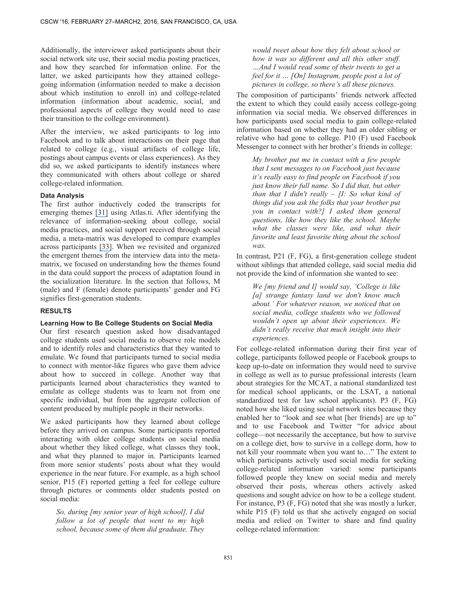Additionally, the interviewer asked participants about their social network site use, their social media posting practices, and how they searched for information online. For the latter, we asked participants how they attained collegegoing information (information needed to make a decision about which institution to enroll in) and college-related information (information about academic, social, and professional aspects of college they would need to ease their transition to the college environment).

After the interview, we asked participants to log into Facebook and to talk about interactions on their page that related to college (e.g., visual artifacts of college life, postings about campus events or class experiences). As they did so, we asked participants to identify instances where they communicated with others about college or shared college-related information.

## **Data Analysis**

The first author inductively coded the transcripts for emerging themes [\[31\]](https://www.researchgate.net/publication/43220402_Qualitative_Research_Design_An_Interactive_Approach_JA_Maxwell?el=1_x_8&enrichId=rgreq-68524b59c56a2362297d5e2f74b121c2-XXX&enrichSource=Y292ZXJQYWdlOzMwMjY5NTAyNTtBUzozNjAyMTQwNTEyMTMzMTZAMTQ2Mjg5MzEzMDgwOA==) using Atlas.ti. After identifying the relevance of information-seeking about college, social media practices, and social support received through social media, a meta-matrix was developed to compare examples across participants [\[33\]](https://www.researchgate.net/publication/272566756_Qualitative_Data_Analysis_A_Methods_Sourcebook?el=1_x_8&enrichId=rgreq-68524b59c56a2362297d5e2f74b121c2-XXX&enrichSource=Y292ZXJQYWdlOzMwMjY5NTAyNTtBUzozNjAyMTQwNTEyMTMzMTZAMTQ2Mjg5MzEzMDgwOA==). When we revisited and organized the emergent themes from the interview data into the metamatrix, we focused on understanding how the themes found in the data could support the process of adaptation found in the socialization literature. In the section that follows, M (male) and F (female) denote participants' gender and FG signifies first-generation students.

#### **RESULTS**

#### **Learning How to Be College Students on Social Media**

Our first research question asked how disadvantaged college students used social media to observe role models and to identify roles and characteristics that they wanted to emulate. We found that participants turned to social media to connect with mentor-like figures who gave them advice about how to succeed in college. Another way that participants learned about characteristics they wanted to emulate as college students was to learn not from one specific individual, but from the aggregate collection of content produced by multiple people in their networks.

We asked participants how they learned about college before they arrived on campus. Some participants reported interacting with older college students on social media about whether they liked college, what classes they took, and what they planned to major in. Participants learned from more senior students' posts about what they would experience in the near future. For example, as a high school senior, P15 (F) reported getting a feel for college culture through pictures or comments older students posted on social media:

*So, during [my senior year of high school], I did follow a lot of people that went to my high school, because some of them did graduate. They* 

*would tweet about how they felt about school or how it was so different and all this other stuff. …And I would read some of their tweets to get a feel for it … [On] Instagram, people post a lot of pictures in college, so there's all these pictures.* 

The composition of participants' friends network affected the extent to which they could easily access college-going information via social media. We observed differences in how participants used social media to gain college-related information based on whether they had an older sibling or relative who had gone to college. P10 (F) used Facebook Messenger to connect with her brother's friends in college:

*My brother put me in contact with a few people that I sent messages to on Facebook just because it's really easy to find people on Facebook if you just know their full name. So I did that, but other than that I didn't really –*  $\pi$ *. So what kind of things did you ask the folks that your brother put you in contact with?] I asked them general questions, like how they like the school. Maybe what the classes were like, and what their favorite and least favorite thing about the school was.* 

In contrast, P21 (F, FG), a first-generation college student without siblings that attended college, said social media did not provide the kind of information she wanted to see:

*We [my friend and I] would say, 'College is like [a] strange fantasy land we don't know much about.' For whatever reason, we noticed that on social media, college students who we followed wouldn't open up about their experiences. We didn't really receive that much insight into their experiences.* 

For college-related information during their first year of college, participants followed people or Facebook groups to keep up-to-date on information they would need to survive in college as well as to pursue professional interests (learn about strategies for the MCAT, a national standardized test for medical school applicants, or the LSAT, a national standardized test for law school applicants). P3 (F, FG) noted how she liked using social network sites because they enabled her to "look and see what [her friends] are up to" and to use Facebook and Twitter "for advice about college—not necessarily the acceptance, but how to survive on a college diet, how to survive in a college dorm, how to not kill your roommate when you want to…" The extent to which participants actively used social media for seeking college-related information varied: some participants followed people they knew on social media and merely observed their posts, whereas others actively asked questions and sought advice on how to be a college student. For instance, P3 (F, FG) noted that she was mostly a lurker, while P15 (F) told us that she actively engaged on social media and relied on Twitter to share and find quality college-related information: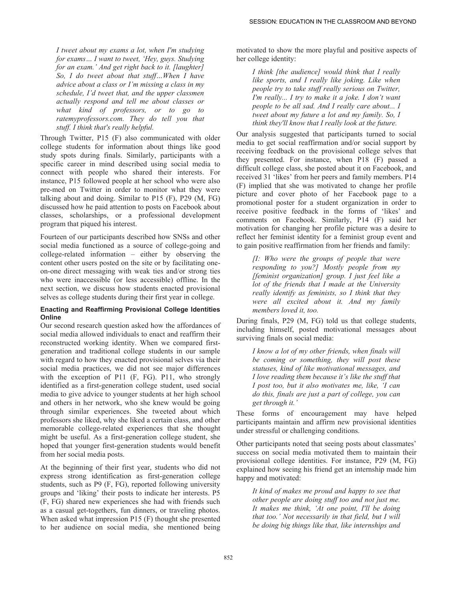*I tweet about my exams a lot, when I'm studying for exams… I want to tweet, 'Hey, guys. Studying for an exam.' And get right back to it. [laughter] So, I do tweet about that stuff…When I have advice about a class or I'm missing a class in my schedule, I'd tweet that, and the upper classmen actually respond and tell me about classes or what kind of professors, or to go to ratemyprofessors.com. They do tell you that stuff. I think that's really helpful.* 

Through Twitter, P15 (F) also communicated with older college students for information about things like good study spots during finals. Similarly, participants with a specific career in mind described using social media to connect with people who shared their interests. For instance, P15 followed people at her school who were also pre-med on Twitter in order to monitor what they were talking about and doing. Similar to P15 (F), P29 (M, FG) discussed how he paid attention to posts on Facebook about classes, scholarships, or a professional development program that piqued his interest.

Fourteen of our participants described how SNSs and other social media functioned as a source of college-going and college-related information – either by observing the content other users posted on the site or by facilitating oneon-one direct messaging with weak ties and/or strong ties who were inaccessible (or less accessible) offline. In the next section, we discuss how students enacted provisional selves as college students during their first year in college.

## **Enacting and Reaffirming Provisional College Identities Online**

Our second research question asked how the affordances of social media allowed individuals to enact and reaffirm their reconstructed working identity. When we compared firstgeneration and traditional college students in our sample with regard to how they enacted provisional selves via their social media practices, we did not see major differences with the exception of P11 (F, FG). P11, who strongly identified as a first-generation college student, used social media to give advice to younger students at her high school and others in her network, who she knew would be going through similar experiences. She tweeted about which professors she liked, why she liked a certain class, and other memorable college-related experiences that she thought might be useful. As a first-generation college student, she hoped that younger first-generation students would benefit from her social media posts.

At the beginning of their first year, students who did not express strong identification as first-generation college students, such as P9 (F, FG), reported following university groups and 'liking' their posts to indicate her interests. P5 (F, FG) shared new experiences she had with friends such as a casual get-togethers, fun dinners, or traveling photos. When asked what impression P15 (F) thought she presented to her audience on social media, she mentioned being

motivated to show the more playful and positive aspects of her college identity:

*I think [the audience] would think that I really like sports, and I really like joking. Like when people try to take stuff really serious on Twitter, I'm really... I try to make it a joke. I don't want people to be all sad. And I really care about... I tweet about my future a lot and my family. So, I think they'll know that I really look at the future.* 

Our analysis suggested that participants turned to social media to get social reaffirmation and/or social support by receiving feedback on the provisional college selves that they presented. For instance, when P18 (F) passed a difficult college class, she posted about it on Facebook, and received 31 'likes' from her peers and family members. P14 (F) implied that she was motivated to change her profile picture and cover photo of her Facebook page to a promotional poster for a student organization in order to receive positive feedback in the forms of 'likes' and comments on Facebook. Similarly, P14 (F) said her motivation for changing her profile picture was a desire to reflect her feminist identity for a feminist group event and to gain positive reaffirmation from her friends and family:

*[I: Who were the groups of people that were responding to you?] Mostly people from my [feminist organization] group. I just feel like a lot of the friends that I made at the University really identify as feminists, so I think that they were all excited about it. And my family members loved it, too.* 

During finals, P29 (M, FG) told us that college students, including himself, posted motivational messages about surviving finals on social media:

*I know a lot of my other friends, when finals will be coming or something, they will post these statuses, kind of like motivational messages, and I love reading them because it's like the stuff that I post too, but it also motivates me, like, 'I can do this, finals are just a part of college, you can get through it.'* 

These forms of encouragement may have helped participants maintain and affirm new provisional identities under stressful or challenging conditions.

Other participants noted that seeing posts about classmates' success on social media motivated them to maintain their provisional college identities. For instance, P29 (M, FG) explained how seeing his friend get an internship made him happy and motivated:

*It kind of makes me proud and happy to see that other people are doing stuff too and not just me. It makes me think, 'At one point, I'll be doing that too.' Not necessarily in that field, but I will be doing big things like that, like internships and*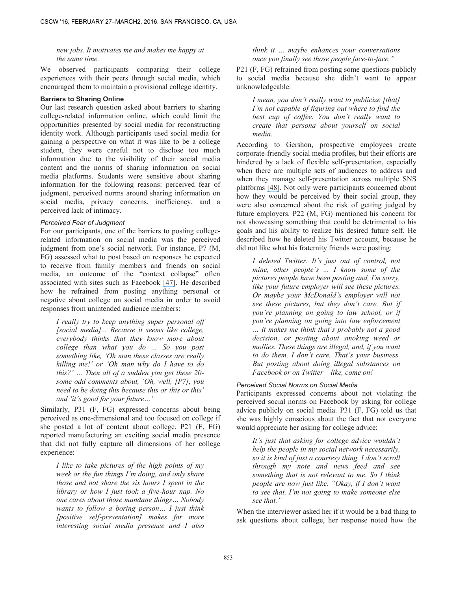## *new jobs. It motivates me and makes me happy at the same time.*

We observed participants comparing their college experiences with their peers through social media, which encouraged them to maintain a provisional college identity.

# **Barriers to Sharing Online**

Our last research question asked about barriers to sharing college-related information online, which could limit the opportunities presented by social media for reconstructing identity work. Although participants used social media for gaining a perspective on what it was like to be a college student, they were careful not to disclose too much information due to the visibility of their social media content and the norms of sharing information on social media platforms. Students were sensitive about sharing information for the following reasons: perceived fear of judgment, perceived norms around sharing information on social media, privacy concerns, inefficiency, and a perceived lack of intimacy.

#### *Perceived Fear of Judgment*

For our participants, one of the barriers to posting collegerelated information on social media was the perceived judgment from one's social network. For instance, P7 (M, FG) assessed what to post based on responses he expected to receive from family members and friends on social media, an outcome of the "context collapse" often associated with sites such as Facebook [\[47\]](https://www.researchgate.net/publication/235616529_I_Tweet_Honestly_I_Tweet_Passionately_Twitter_Users_Context_Collapse_and_the_Imagined_Audience?el=1_x_8&enrichId=rgreq-68524b59c56a2362297d5e2f74b121c2-XXX&enrichSource=Y292ZXJQYWdlOzMwMjY5NTAyNTtBUzozNjAyMTQwNTEyMTMzMTZAMTQ2Mjg5MzEzMDgwOA==). He described how he refrained from posting anything personal or negative about college on social media in order to avoid responses from unintended audience members:

*I really try to keep anything super personal off [social media]... Because it seems like college, everybody thinks that they know more about college than what you do ... So you post something like, 'Oh man these classes are really killing me!' or 'Oh man why do I have to do this?' … Then all of a sudden you get these 20 some odd comments about, 'Oh, well, [P7], you need to be doing this because this or this or this' and 'it's good for your future…'* 

Similarly, P31 (F, FG) expressed concerns about being perceived as one-dimensional and too focused on college if she posted a lot of content about college. P21 (F, FG) reported manufacturing an exciting social media presence that did not fully capture all dimensions of her college experience:

*I like to take pictures of the high points of my week or the fun things I'm doing, and only share those and not share the six hours I spent in the library or how I just took a five-hour nap. No one cares about those mundane things… Nobody wants to follow a boring person… I just think [positive self-presentation] makes for more interesting social media presence and I also* 

## *think it … maybe enhances your conversations once you finally see those people face-to-face."*

P21 (F, FG) refrained from posting some questions publicly to social media because she didn't want to appear unknowledgeable:

*I mean, you don't really want to publicize [that] I'm not capable of figuring out where to find the best cup of coffee. You don't really want to create that persona about yourself on social media.* 

According to Gershon, prospective employees create corporate-friendly social media profiles, but their efforts are hindered by a lack of flexible self-presentation, especially when there are multiple sets of audiences to address and when they manage self-presentation across multiple SNS platforms [\[48\]](https://www.researchgate.net/publication/267340394_Selling_Your_Self_in_the_United_States?el=1_x_8&enrichId=rgreq-68524b59c56a2362297d5e2f74b121c2-XXX&enrichSource=Y292ZXJQYWdlOzMwMjY5NTAyNTtBUzozNjAyMTQwNTEyMTMzMTZAMTQ2Mjg5MzEzMDgwOA==). Not only were participants concerned about how they would be perceived by their social group, they were also concerned about the risk of getting judged by future employers. P22 (M, FG) mentioned his concern for not showcasing something that could be detrimental to his goals and his ability to realize his desired future self. He described how he deleted his Twitter account, because he did not like what his fraternity friends were posting:

*I deleted Twitter. It's just out of control, not mine, other people's ... I know some of the pictures people have been posting and, I'm sorry, like your future employer will see these pictures. Or maybe your McDonald's employer will not see these pictures, but they don't care. But if you're planning on going to law school, or if you're planning on going into law enforcement … it makes me think that's probably not a good decision, or posting about smoking weed or mollies. These things are illegal, and, if you want to do them, I don't care. That's your business. But posting about doing illegal substances on Facebook or on Twitter – like, come on!* 

## *Perceived Social Norms on Social Media*

Participants expressed concerns about not violating the perceived social norms on Facebook by asking for college advice publicly on social media. P31 (F, FG) told us that she was highly conscious about the fact that not everyone would appreciate her asking for college advice:

*It's just that asking for college advice wouldn't help the people in my social network necessarily, so it is kind of just a courtesy thing. I don't scroll through my note and news feed and see something that is not relevant to me. So I think people are now just like, "Okay, if I don't want to see that, I'm not going to make someone else see that."*

When the interviewer asked her if it would be a bad thing to ask questions about college, her response noted how the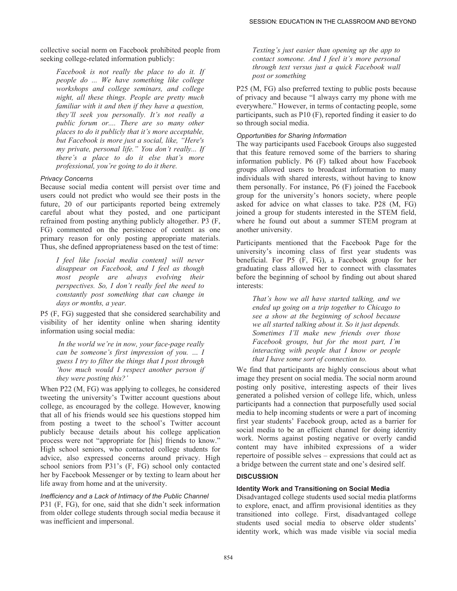collective social norm on Facebook prohibited people from seeking college-related information publicly:

*Facebook is not really the place to do it. If people do ... We have something like college workshops and college seminars, and college night, all these things. People are pretty much familiar with it and then if they have a question, they'll seek you personally. It's not really a public forum or.... There are so many other places to do it publicly that it's more acceptable, but Facebook is more just a social, like, "Here's my private, personal life." You don't really... If there's a place to do it else that's more professional, you're going to do it there.* 

# *Privacy Concerns*

Because social media content will persist over time and users could not predict who would see their posts in the future, 20 of our participants reported being extremely careful about what they posted, and one participant refrained from posting anything publicly altogether. P3 (F, FG) commented on the persistence of content as one primary reason for only posting appropriate materials. Thus, she defined appropriateness based on the test of time:

*I feel like [social media content] will never disappear on Facebook, and I feel as though most people are always evolving their perspectives. So, I don't really feel the need to constantly post something that can change in days or months, a year.* 

P5 (F, FG) suggested that she considered searchability and visibility of her identity online when sharing identity information using social media:

*In the world we're in now, your face-page really can be someone's first impression of you. … I guess I try to filter the things that I post through 'how much would I respect another person if they were posting this?'* 

When P22 (M, FG) was applying to colleges, he considered tweeting the university's Twitter account questions about college, as encouraged by the college. However, knowing that all of his friends would see his questions stopped him from posting a tweet to the school's Twitter account publicly because details about his college application process were not "appropriate for [his] friends to know." High school seniors, who contacted college students for advice, also expressed concerns around privacy. High school seniors from P31's (F, FG) school only contacted her by Facebook Messenger or by texting to learn about her life away from home and at the university.

# *Inefficiency and a Lack of Intimacy of the Public Channel*

P31 (F, FG), for one, said that she didn't seek information from older college students through social media because it was inefficient and impersonal.

*Texting's just easier than opening up the app to contact someone. And I feel it's more personal through text versus just a quick Facebook wall post or something* 

P25 (M, FG) also preferred texting to public posts because of privacy and because "I always carry my phone with me everywhere." However, in terms of contacting people, some participants, such as P10 (F), reported finding it easier to do so through social media.

# *Opportunities for Sharing Information*

The way participants used Facebook Groups also suggested that this feature removed some of the barriers to sharing information publicly. P6 (F) talked about how Facebook groups allowed users to broadcast information to many individuals with shared interests, without having to know them personally. For instance, P6 (F) joined the Facebook group for the university's honors society, where people asked for advice on what classes to take. P28 (M, FG) joined a group for students interested in the STEM field, where he found out about a summer STEM program at another university.

Participants mentioned that the Facebook Page for the university's incoming class of first year students was beneficial. For P5 (F, FG), a Facebook group for her graduating class allowed her to connect with classmates before the beginning of school by finding out about shared interests:

*That's how we all have started talking, and we ended up going on a trip together to Chicago to see a show at the beginning of school because we all started talking about it. So it just depends. Sometimes I'll make new friends over those Facebook groups, but for the most part, I'm interacting with people that I know or people that I have some sort of connection to.* 

We find that participants are highly conscious about what image they present on social media. The social norm around posting only positive, interesting aspects of their lives generated a polished version of college life, which, unless participants had a connection that purposefully used social media to help incoming students or were a part of incoming first year students' Facebook group, acted as a barrier for social media to be an efficient channel for doing identity work. Norms against posting negative or overly candid content may have inhibited expressions of a wider repertoire of possible selves – expressions that could act as a bridge between the current state and one's desired self.

# **DISCUSSION**

# **Identity Work and Transitioning on Social Media**

Disadvantaged college students used social media platforms to explore, enact, and affirm provisional identities as they transitioned into college. First, disadvantaged college students used social media to observe older students' identity work, which was made visible via social media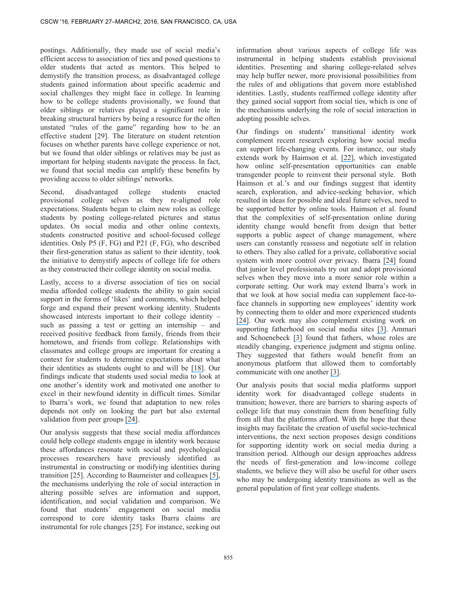postings. Additionally, they made use of social media's efficient access to association of ties and posed questions to older students that acted as mentors. This helped to demystify the transition process, as disadvantaged college students gained information about specific academic and social challenges they might face in college. In learning how to be college students provisionally, we found that older siblings or relatives played a significant role in breaking structural barriers by being a resource for the often unstated "rules of the game" regarding how to be an effective student [29]. The literature on student retention focuses on whether parents have college experience or not, but we found that older siblings or relatives may be just as important for helping students navigate the process. In fact, we found that social media can amplify these benefits by providing access to older siblings' networks.

Second, disadvantaged college students enacted provisional college selves as they re-aligned role expectations. Students began to claim new roles as college students by posting college-related pictures and status updates. On social media and other online contexts, students constructed positive and school-focused college identities. Only P5 (F, FG) and P21 (F, FG), who described their first-generation status as salient to their identity, took the initiative to demystify aspects of college life for others as they constructed their college identity on social media.

Lastly, access to a diverse association of ties on social media afforded college students the ability to gain social support in the forms of 'likes' and comments, which helped forge and expand their present working identity. Students showcased interests important to their college identity – such as passing a test or getting an internship – and received positive feedback from family, friends from their hometown, and friends from college. Relationships with classmates and college groups are important for creating a context for students to determine expectations about what their identities as students ought to and will be [\[18\]](https://www.researchgate.net/publication/265032414_Learning_from_academia_The_importance_of_relationships_in_professional_life?el=1_x_8&enrichId=rgreq-68524b59c56a2362297d5e2f74b121c2-XXX&enrichSource=Y292ZXJQYWdlOzMwMjY5NTAyNTtBUzozNjAyMTQwNTEyMTMzMTZAMTQ2Mjg5MzEzMDgwOA==). Our findings indicate that students used social media to look at one another's identity work and motivated one another to excel in their newfound identity in difficult times. Similar to Ibarra's work, we found that adaptation to new roles depends not only on looking the part but also external validation from peer groups [\[24\]](https://www.researchgate.net/publication/247292037_Provisional_Selves_Experimenting_With_Image_and_Identity_in_Professional_Adaptation?el=1_x_8&enrichId=rgreq-68524b59c56a2362297d5e2f74b121c2-XXX&enrichSource=Y292ZXJQYWdlOzMwMjY5NTAyNTtBUzozNjAyMTQwNTEyMTMzMTZAMTQ2Mjg5MzEzMDgwOA==).

Our analysis suggests that these social media affordances could help college students engage in identity work because these affordances resonate with social and psychological processes researchers have previously identified as instrumental in constructing or modifying identities during transition [25]. According to Baumeister and colleagues [\[5\]](https://www.researchgate.net/publication/13685625_Ego_Depletion_Is_the_Active_Self_a_Limited_Resource?el=1_x_8&enrichId=rgreq-68524b59c56a2362297d5e2f74b121c2-XXX&enrichSource=Y292ZXJQYWdlOzMwMjY5NTAyNTtBUzozNjAyMTQwNTEyMTMzMTZAMTQ2Mjg5MzEzMDgwOA==), the mechanisms underlying the role of social interaction in altering possible selves are information and support, identification, and social validation and comparison. We found that students' engagement on social media correspond to core identity tasks Ibarra claims are instrumental for role changes [25]. For instance, seeking out information about various aspects of college life was instrumental in helping students establish provisional identities. Presenting and sharing college-related selves may help buffer newer, more provisional possibilities from the rules of and obligations that govern more established identities. Lastly, students reaffirmed college identity after they gained social support from social ties, which is one of the mechanisms underlying the role of social interaction in adopting possible selves.

Our findings on students' transitional identity work complement recent research exploring how social media can support life-changing events. For instance, our study extends work by Haimson et al. [\[22\]](https://www.researchgate.net/publication/275345150_Online_Inspiration_and_Exploration_for_Identity_Reinvention?el=1_x_8&enrichId=rgreq-68524b59c56a2362297d5e2f74b121c2-XXX&enrichSource=Y292ZXJQYWdlOzMwMjY5NTAyNTtBUzozNjAyMTQwNTEyMTMzMTZAMTQ2Mjg5MzEzMDgwOA==), which investigated how online self-presentation opportunities can enable transgender people to reinvent their personal style. Both Haimson et al.'s and our findings suggest that identity search, exploration, and advice-seeking behavior, which resulted in ideas for possible and ideal future selves, need to be supported better by online tools. Haimson et al. found that the complexities of self-presentation online during identity change would benefit from design that better supports a public aspect of change management, where users can constantly reassess and negotiate self in relation to others. They also called for a private, collaborative social system with more control over privacy. Ibarra [\[24\]](https://www.researchgate.net/publication/247292037_Provisional_Selves_Experimenting_With_Image_and_Identity_in_Professional_Adaptation?el=1_x_8&enrichId=rgreq-68524b59c56a2362297d5e2f74b121c2-XXX&enrichSource=Y292ZXJQYWdlOzMwMjY5NTAyNTtBUzozNjAyMTQwNTEyMTMzMTZAMTQ2Mjg5MzEzMDgwOA==) found that junior level professionals try out and adopt provisional selves when they move into a more senior role within a corporate setting. Our work may extend Ibarra's work in that we look at how social media can supplement face-toface channels in supporting new employees' identity work by connecting them to older and more experienced students [\[24\]](https://www.researchgate.net/publication/247292037_Provisional_Selves_Experimenting_With_Image_and_Identity_in_Professional_Adaptation?el=1_x_8&enrichId=rgreq-68524b59c56a2362297d5e2f74b121c2-XXX&enrichSource=Y292ZXJQYWdlOzMwMjY5NTAyNTtBUzozNjAyMTQwNTEyMTMzMTZAMTQ2Mjg5MzEzMDgwOA==). Our work may also complement existing work on supporting fatherhood on social media sites [\[3\]](https://www.researchgate.net/publication/300727716_Understanding_and_Supporting_Fathers_and_Fatherhood_on_Social_Media_Sites?el=1_x_8&enrichId=rgreq-68524b59c56a2362297d5e2f74b121c2-XXX&enrichSource=Y292ZXJQYWdlOzMwMjY5NTAyNTtBUzozNjAyMTQwNTEyMTMzMTZAMTQ2Mjg5MzEzMDgwOA==). Ammari and Schoenebeck [\[3\]](https://www.researchgate.net/publication/300727716_Understanding_and_Supporting_Fathers_and_Fatherhood_on_Social_Media_Sites?el=1_x_8&enrichId=rgreq-68524b59c56a2362297d5e2f74b121c2-XXX&enrichSource=Y292ZXJQYWdlOzMwMjY5NTAyNTtBUzozNjAyMTQwNTEyMTMzMTZAMTQ2Mjg5MzEzMDgwOA==) found that fathers, whose roles are steadily changing, experience judgment and stigma online. They suggested that fathers would benefit from an anonymous platform that allowed them to comfortably communicate with one another [\[3\]](https://www.researchgate.net/publication/300727716_Understanding_and_Supporting_Fathers_and_Fatherhood_on_Social_Media_Sites?el=1_x_8&enrichId=rgreq-68524b59c56a2362297d5e2f74b121c2-XXX&enrichSource=Y292ZXJQYWdlOzMwMjY5NTAyNTtBUzozNjAyMTQwNTEyMTMzMTZAMTQ2Mjg5MzEzMDgwOA==).

Our analysis posits that social media platforms support identity work for disadvantaged college students in transition; however, there are barriers to sharing aspects of college life that may constrain them from benefiting fully from all that the platforms afford. With the hope that these insights may facilitate the creation of useful socio-technical interventions, the next section proposes design conditions for supporting identity work on social media during a transition period. Although our design approaches address the needs of first-generation and low-income college students, we believe they will also be useful for other users who may be undergoing identity transitions as well as the general population of first year college students.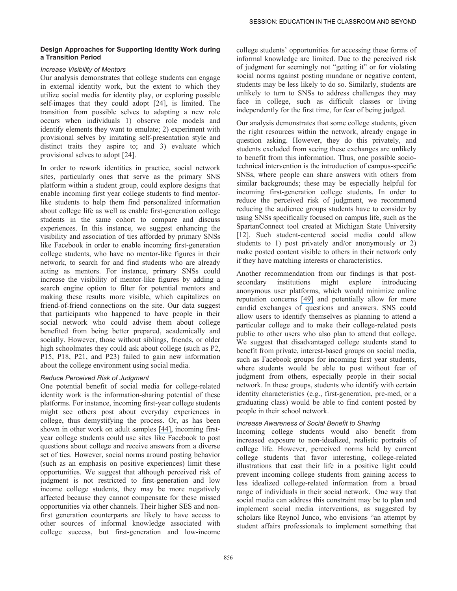## **Design Approaches for Supporting Identity Work during a Transition Period**

# *Increase Visibility of Mentors*

Our analysis demonstrates that college students can engage in external identity work, but the extent to which they utilize social media for identity play, or exploring possible self-images that they could adopt [24], is limited. The transition from possible selves to adapting a new role occurs when individuals 1) observe role models and identify elements they want to emulate; 2) experiment with provisional selves by imitating self-presentation style and distinct traits they aspire to; and 3) evaluate which provisional selves to adopt [24].

In order to rework identities in practice, social network sites, particularly ones that serve as the primary SNS platform within a student group, could explore designs that enable incoming first year college students to find mentorlike students to help them find personalized information about college life as well as enable first-generation college students in the same cohort to compare and discuss experiences. In this instance, we suggest enhancing the visibility and association of ties afforded by primary SNSs like Facebook in order to enable incoming first-generation college students, who have no mentor-like figures in their network, to search for and find students who are already acting as mentors. For instance, primary SNSs could increase the visibility of mentor-like figures by adding a search engine option to filter for potential mentors and making these results more visible, which capitalizes on friend-of-friend connections on the site. Our data suggest that participants who happened to have people in their social network who could advise them about college benefited from being better prepared, academically and socially. However, those without siblings, friends, or older high schoolmates they could ask about college (such as P2, P15, P18, P21, and P23) failed to gain new information about the college environment using social media.

# *Reduce Perceived Risk of Judgment*

One potential benefit of social media for college-related identity work is the information-sharing potential of these platforms. For instance, incoming first-year college students might see others post about everyday experiences in college, thus demystifying the process. Or, as has been shown in other work on adult samples [\[44\]](https://www.researchgate.net/publication/258173935_), incoming firstyear college students could use sites like Facebook to post questions about college and receive answers from a diverse set of ties. However, social norms around posting behavior (such as an emphasis on positive experiences) limit these opportunities. We suggest that although perceived risk of judgment is not restricted to first-generation and low income college students, they may be more negatively affected because they cannot compensate for these missed opportunities via other channels. Their higher SES and nonfirst generation counterparts are likely to have access to other sources of informal knowledge associated with college success, but first-generation and low-income

college students' opportunities for accessing these forms of informal knowledge are limited. Due to the perceived risk of judgment for seemingly not "getting it" or for violating social norms against posting mundane or negative content, students may be less likely to do so. Similarly, students are unlikely to turn to SNSs to address challenges they may face in college, such as difficult classes or living independently for the first time, for fear of being judged.

Our analysis demonstrates that some college students, given the right resources within the network, already engage in question asking. However, they do this privately, and students excluded from seeing these exchanges are unlikely to benefit from this information. Thus, one possible sociotechnical intervention is the introduction of campus-specific SNSs, where people can share answers with others from similar backgrounds; these may be especially helpful for incoming first-generation college students. In order to reduce the perceived risk of judgment, we recommend reducing the audience groups students have to consider by using SNSs specifically focused on campus life, such as the SpartanConnect tool created at Michigan State University [12]. Such student-centered social media could allow students to 1) post privately and/or anonymously or 2) make posted content visible to others in their network only if they have matching interests or characteristics.

Another recommendation from our findings is that postsecondary institutions might explore introducing anonymous user platforms, which would minimize online reputation concerns [\[49\]](https://www.researchgate.net/publication/2512169_Identity_and_Deception_in_the_Virtual_Community?el=1_x_8&enrichId=rgreq-68524b59c56a2362297d5e2f74b121c2-XXX&enrichSource=Y292ZXJQYWdlOzMwMjY5NTAyNTtBUzozNjAyMTQwNTEyMTMzMTZAMTQ2Mjg5MzEzMDgwOA==) and potentially allow for more candid exchanges of questions and answers. SNS could allow users to identify themselves as planning to attend a particular college and to make their college-related posts public to other users who also plan to attend that college. We suggest that disadvantaged college students stand to benefit from private, interest-based groups on social media, such as Facebook groups for incoming first year students, where students would be able to post without fear of judgment from others, especially people in their social network. In these groups, students who identify with certain identity characteristics (e.g., first-generation, pre-med, or a graduating class) would be able to find content posted by people in their school network.

# *Increase Awareness of Social Benefit to Sharing*

Incoming college students would also benefit from increased exposure to non-idealized, realistic portraits of college life. However, perceived norms held by current college students that favor interesting, college-related illustrations that cast their life in a positive light could prevent incoming college students from gaining access to less idealized college-related information from a broad range of individuals in their social network. One way that social media can address this constraint may be to plan and implement social media interventions, as suggested by scholars like Reynol Junco, who envisions "an attempt by student affairs professionals to implement something that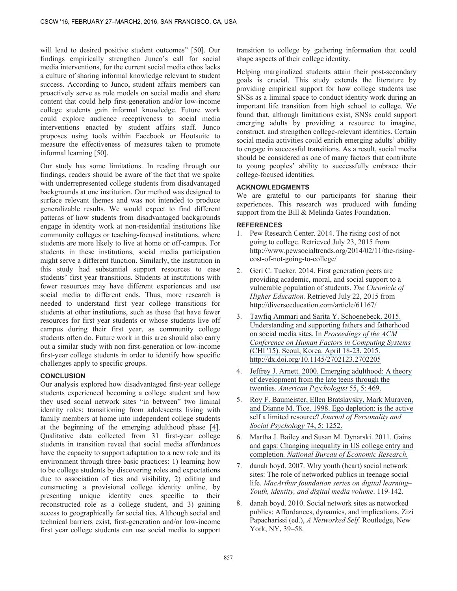will lead to desired positive student outcomes" [50]. Our findings empirically strengthen Junco's call for social media interventions, for the current social media ethos lacks a culture of sharing informal knowledge relevant to student success. According to Junco, student affairs members can proactively serve as role models on social media and share content that could help first-generation and/or low-income college students gain informal knowledge. Future work could explore audience receptiveness to social media interventions enacted by student affairs staff. Junco proposes using tools within Facebook or Hootsuite to measure the effectiveness of measures taken to promote informal learning [50].

Our study has some limitations. In reading through our findings, readers should be aware of the fact that we spoke with underrepresented college students from disadvantaged backgrounds at one institution. Our method was designed to surface relevant themes and was not intended to produce generalizable results. We would expect to find different patterns of how students from disadvantaged backgrounds engage in identity work at non-residential institutions like community colleges or teaching-focused institutions, where students are more likely to live at home or off-campus. For students in these institutions, social media participation might serve a different function. Similarly, the institution in this study had substantial support resources to ease students' first year transitions. Students at institutions with fewer resources may have different experiences and use social media to different ends. Thus, more research is needed to understand first year college transitions for students at other institutions, such as those that have fewer resources for first year students or whose students live off campus during their first year, as community college students often do. Future work in this area should also carry out a similar study with non first-generation or low-income first-year college students in order to identify how specific challenges apply to specific groups.

# **CONCLUSION**

Our analysis explored how disadvantaged first-year college students experienced becoming a college student and how they used social network sites "in between" two liminal identity roles: transitioning from adolescents living with family members at home into independent college students at the beginning of the emerging adulthood phase [\[4\]](https://www.researchgate.net/publication/12476725_Emerging_Adulthood_A_Theory_of_Development_From_the_Late_Teens_Through_the_Twenties?el=1_x_8&enrichId=rgreq-68524b59c56a2362297d5e2f74b121c2-XXX&enrichSource=Y292ZXJQYWdlOzMwMjY5NTAyNTtBUzozNjAyMTQwNTEyMTMzMTZAMTQ2Mjg5MzEzMDgwOA==). Qualitative data collected from 31 first-year college students in transition reveal that social media affordances have the capacity to support adaptation to a new role and its environment through three basic practices: 1) learning how to be college students by discovering roles and expectations due to association of ties and visibility, 2) editing and constructing a provisional college identity online, by presenting unique identity cues specific to their reconstructed role as a college student, and 3) gaining access to geographically far social ties. Although social and technical barriers exist, first-generation and/or low-income first year college students can use social media to support transition to college by gathering information that could shape aspects of their college identity.

Helping marginalized students attain their post-secondary goals is crucial. This study extends the literature by providing empirical support for how college students use SNSs as a liminal space to conduct identity work during an important life transition from high school to college. We found that, although limitations exist, SNSs could support emerging adults by providing a resource to imagine, construct, and strengthen college-relevant identities. Certain social media activities could enrich emerging adults' ability to engage in successful transitions. As a result, social media should be considered as one of many factors that contribute to young peoples' ability to successfully embrace their college-focused identities.

## **ACKNOWLEDGMENTS**

We are grateful to our participants for sharing their experiences. This research was produced with funding support from the Bill & Melinda Gates Foundation.

## **REFERENCES**

- 1. Pew Research Center. 2014. The rising cost of not going to college. Retrieved July 23, 2015 from http://www.pewsocialtrends.org/2014/02/11/the-risingcost-of-not-going-to-college/
- 2. Geri C. Tucker. 2014. First generation peers are providing academic, moral, and social support to a vulnerable population of students. *The Chronicle of Higher Education.* Retrieved July 22, 2015 from http://diverseeducation.com/article/61167/
- [Tawfiq Ammari and Sarita Y. Schoenebeck. 2015.](https://www.researchgate.net/publication/300727716_Understanding_and_Supporting_Fathers_and_Fatherhood_on_Social_Media_Sites?el=1_x_8&enrichId=rgreq-68524b59c56a2362297d5e2f74b121c2-XXX&enrichSource=Y292ZXJQYWdlOzMwMjY5NTAyNTtBUzozNjAyMTQwNTEyMTMzMTZAMTQ2Mjg5MzEzMDgwOA==) [Understanding and supporting fathers and fatherhood](https://www.researchgate.net/publication/300727716_Understanding_and_Supporting_Fathers_and_Fatherhood_on_Social_Media_Sites?el=1_x_8&enrichId=rgreq-68524b59c56a2362297d5e2f74b121c2-XXX&enrichSource=Y292ZXJQYWdlOzMwMjY5NTAyNTtBUzozNjAyMTQwNTEyMTMzMTZAMTQ2Mjg5MzEzMDgwOA==) [on social media sites. In](https://www.researchgate.net/publication/300727716_Understanding_and_Supporting_Fathers_and_Fatherhood_on_Social_Media_Sites?el=1_x_8&enrichId=rgreq-68524b59c56a2362297d5e2f74b121c2-XXX&enrichSource=Y292ZXJQYWdlOzMwMjY5NTAyNTtBUzozNjAyMTQwNTEyMTMzMTZAMTQ2Mjg5MzEzMDgwOA==) *Proceedings of the ACM [Conference on Human Factors in Computing Systems](https://www.researchgate.net/publication/300727716_Understanding_and_Supporting_Fathers_and_Fatherhood_on_Social_Media_Sites?el=1_x_8&enrichId=rgreq-68524b59c56a2362297d5e2f74b121c2-XXX&enrichSource=Y292ZXJQYWdlOzMwMjY5NTAyNTtBUzozNjAyMTQwNTEyMTMzMTZAMTQ2Mjg5MzEzMDgwOA==)* [\(CHI '15\). Seoul, Korea. April 18-23, 2015.](https://www.researchgate.net/publication/300727716_Understanding_and_Supporting_Fathers_and_Fatherhood_on_Social_Media_Sites?el=1_x_8&enrichId=rgreq-68524b59c56a2362297d5e2f74b121c2-XXX&enrichSource=Y292ZXJQYWdlOzMwMjY5NTAyNTtBUzozNjAyMTQwNTEyMTMzMTZAMTQ2Mjg5MzEzMDgwOA==)  [http://dx.doi.org/10.1145/2702123.2702205](https://www.researchgate.net/publication/300727716_Understanding_and_Supporting_Fathers_and_Fatherhood_on_Social_Media_Sites?el=1_x_8&enrichId=rgreq-68524b59c56a2362297d5e2f74b121c2-XXX&enrichSource=Y292ZXJQYWdlOzMwMjY5NTAyNTtBUzozNjAyMTQwNTEyMTMzMTZAMTQ2Mjg5MzEzMDgwOA==)
- 4. [Jeffrey J. Arnett. 2000. Emerging adulthood: A theory](https://www.researchgate.net/publication/12476725_Emerging_Adulthood_A_Theory_of_Development_From_the_Late_Teens_Through_the_Twenties?el=1_x_8&enrichId=rgreq-68524b59c56a2362297d5e2f74b121c2-XXX&enrichSource=Y292ZXJQYWdlOzMwMjY5NTAyNTtBUzozNjAyMTQwNTEyMTMzMTZAMTQ2Mjg5MzEzMDgwOA==) [of development from the late teens through the](https://www.researchgate.net/publication/12476725_Emerging_Adulthood_A_Theory_of_Development_From_the_Late_Teens_Through_the_Twenties?el=1_x_8&enrichId=rgreq-68524b59c56a2362297d5e2f74b121c2-XXX&enrichSource=Y292ZXJQYWdlOzMwMjY5NTAyNTtBUzozNjAyMTQwNTEyMTMzMTZAMTQ2Mjg5MzEzMDgwOA==) twenties. *[American Psychologist](https://www.researchgate.net/publication/12476725_Emerging_Adulthood_A_Theory_of_Development_From_the_Late_Teens_Through_the_Twenties?el=1_x_8&enrichId=rgreq-68524b59c56a2362297d5e2f74b121c2-XXX&enrichSource=Y292ZXJQYWdlOzMwMjY5NTAyNTtBUzozNjAyMTQwNTEyMTMzMTZAMTQ2Mjg5MzEzMDgwOA==)* 55, 5: 469.
- 5. [Roy F. Baumeister, Ellen Bratslavsky, Mark Muraven,](https://www.researchgate.net/publication/13685625_Ego_Depletion_Is_the_Active_Self_a_Limited_Resource?el=1_x_8&enrichId=rgreq-68524b59c56a2362297d5e2f74b121c2-XXX&enrichSource=Y292ZXJQYWdlOzMwMjY5NTAyNTtBUzozNjAyMTQwNTEyMTMzMTZAMTQ2Mjg5MzEzMDgwOA==)  [and Dianne M. Tice. 1998. Ego depletion: is the active](https://www.researchgate.net/publication/13685625_Ego_Depletion_Is_the_Active_Self_a_Limited_Resource?el=1_x_8&enrichId=rgreq-68524b59c56a2362297d5e2f74b121c2-XXX&enrichSource=Y292ZXJQYWdlOzMwMjY5NTAyNTtBUzozNjAyMTQwNTEyMTMzMTZAMTQ2Mjg5MzEzMDgwOA==)  self a limited resource? *[Journal of Personality and](https://www.researchgate.net/publication/13685625_Ego_Depletion_Is_the_Active_Self_a_Limited_Resource?el=1_x_8&enrichId=rgreq-68524b59c56a2362297d5e2f74b121c2-XXX&enrichSource=Y292ZXJQYWdlOzMwMjY5NTAyNTtBUzozNjAyMTQwNTEyMTMzMTZAMTQ2Mjg5MzEzMDgwOA==)  [Social Psychology](https://www.researchgate.net/publication/13685625_Ego_Depletion_Is_the_Active_Self_a_Limited_Resource?el=1_x_8&enrichId=rgreq-68524b59c56a2362297d5e2f74b121c2-XXX&enrichSource=Y292ZXJQYWdlOzMwMjY5NTAyNTtBUzozNjAyMTQwNTEyMTMzMTZAMTQ2Mjg5MzEzMDgwOA==)* 74, 5: 1252.
- 6. [Martha J. Bailey and Susan M. Dynarski. 2011. Gains](https://www.researchgate.net/publication/228303128_Gains_and_Gaps_Changing_Inequality_in_US_College_Entry_and_Completion?el=1_x_8&enrichId=rgreq-68524b59c56a2362297d5e2f74b121c2-XXX&enrichSource=Y292ZXJQYWdlOzMwMjY5NTAyNTtBUzozNjAyMTQwNTEyMTMzMTZAMTQ2Mjg5MzEzMDgwOA==)  [and gaps: Changing inequality in US college entry and](https://www.researchgate.net/publication/228303128_Gains_and_Gaps_Changing_Inequality_in_US_College_Entry_and_Completion?el=1_x_8&enrichId=rgreq-68524b59c56a2362297d5e2f74b121c2-XXX&enrichSource=Y292ZXJQYWdlOzMwMjY5NTAyNTtBUzozNjAyMTQwNTEyMTMzMTZAMTQ2Mjg5MzEzMDgwOA==)  completion*[. National Bureau of Economic Research.](https://www.researchgate.net/publication/228303128_Gains_and_Gaps_Changing_Inequality_in_US_College_Entry_and_Completion?el=1_x_8&enrichId=rgreq-68524b59c56a2362297d5e2f74b121c2-XXX&enrichSource=Y292ZXJQYWdlOzMwMjY5NTAyNTtBUzozNjAyMTQwNTEyMTMzMTZAMTQ2Mjg5MzEzMDgwOA==)*
- 7. danah boyd. 2007. Why youth (heart) social network sites: The role of networked publics in teenage social life. *MacArthur foundation series on digital learning– Youth, identity, and digital media volume*. 119-142.
- 8. danah boyd. 2010. Social network sites as networked publics: Affordances, dynamics, and implications. Zizi Papacharissi (ed.), *A Networked Self.* Routledge, New York, NY, 39–58.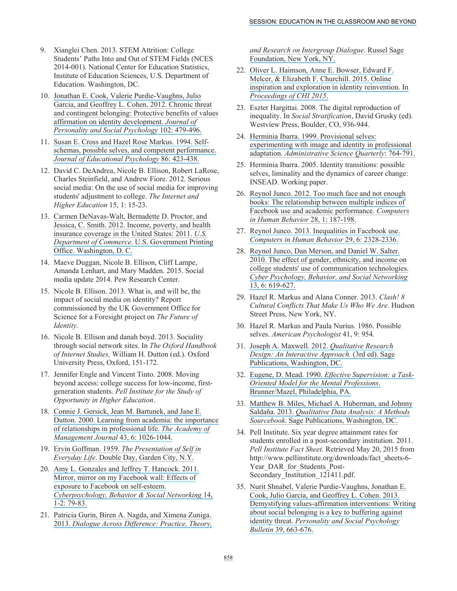- 9. Xianglei Chen. 2013. STEM Attrition: College Students' Paths Into and Out of STEM Fields (NCES 2014-001). National Center for Education Statistics, Institute of Education Sciences, U.S. Department of Education. Washington, DC.
- 10. [Jonathan E. Cook, Valerie Purdie-Vaughns, Julio](https://www.researchgate.net/publication/51797033_Chronic_Threat_and_Contingent_Belonging_Protective_Benefits_of_Values_Affirmation_on_Identity_Development?el=1_x_8&enrichId=rgreq-68524b59c56a2362297d5e2f74b121c2-XXX&enrichSource=Y292ZXJQYWdlOzMwMjY5NTAyNTtBUzozNjAyMTQwNTEyMTMzMTZAMTQ2Mjg5MzEzMDgwOA==) [Garcia, and Geoffrey L. Cohen. 2012. Chronic threat](https://www.researchgate.net/publication/51797033_Chronic_Threat_and_Contingent_Belonging_Protective_Benefits_of_Values_Affirmation_on_Identity_Development?el=1_x_8&enrichId=rgreq-68524b59c56a2362297d5e2f74b121c2-XXX&enrichSource=Y292ZXJQYWdlOzMwMjY5NTAyNTtBUzozNjAyMTQwNTEyMTMzMTZAMTQ2Mjg5MzEzMDgwOA==)  [and contingent belonging: Protective benefits of values](https://www.researchgate.net/publication/51797033_Chronic_Threat_and_Contingent_Belonging_Protective_Benefits_of_Values_Affirmation_on_Identity_Development?el=1_x_8&enrichId=rgreq-68524b59c56a2362297d5e2f74b121c2-XXX&enrichSource=Y292ZXJQYWdlOzMwMjY5NTAyNTtBUzozNjAyMTQwNTEyMTMzMTZAMTQ2Mjg5MzEzMDgwOA==)  [affirmation on identity development.](https://www.researchgate.net/publication/51797033_Chronic_Threat_and_Contingent_Belonging_Protective_Benefits_of_Values_Affirmation_on_Identity_Development?el=1_x_8&enrichId=rgreq-68524b59c56a2362297d5e2f74b121c2-XXX&enrichSource=Y292ZXJQYWdlOzMwMjY5NTAyNTtBUzozNjAyMTQwNTEyMTMzMTZAMTQ2Mjg5MzEzMDgwOA==) *Journal of [Personality and Social Psychology](https://www.researchgate.net/publication/51797033_Chronic_Threat_and_Contingent_Belonging_Protective_Benefits_of_Values_Affirmation_on_Identity_Development?el=1_x_8&enrichId=rgreq-68524b59c56a2362297d5e2f74b121c2-XXX&enrichSource=Y292ZXJQYWdlOzMwMjY5NTAyNTtBUzozNjAyMTQwNTEyMTMzMTZAMTQ2Mjg5MzEzMDgwOA==)* 102: 479-496.
- 11. [Susan E. Cross and Hazel Rose Markus. 1994. Self](https://www.researchgate.net/publication/232585531_Self-Schemas_Possible_Selves_and_Competent_Performance?el=1_x_8&enrichId=rgreq-68524b59c56a2362297d5e2f74b121c2-XXX&enrichSource=Y292ZXJQYWdlOzMwMjY5NTAyNTtBUzozNjAyMTQwNTEyMTMzMTZAMTQ2Mjg5MzEzMDgwOA==)[schemas, possible selves, and competent performance.](https://www.researchgate.net/publication/232585531_Self-Schemas_Possible_Selves_and_Competent_Performance?el=1_x_8&enrichId=rgreq-68524b59c56a2362297d5e2f74b121c2-XXX&enrichSource=Y292ZXJQYWdlOzMwMjY5NTAyNTtBUzozNjAyMTQwNTEyMTMzMTZAMTQ2Mjg5MzEzMDgwOA==) *[Journal of Educational Psychology](https://www.researchgate.net/publication/232585531_Self-Schemas_Possible_Selves_and_Competent_Performance?el=1_x_8&enrichId=rgreq-68524b59c56a2362297d5e2f74b121c2-XXX&enrichSource=Y292ZXJQYWdlOzMwMjY5NTAyNTtBUzozNjAyMTQwNTEyMTMzMTZAMTQ2Mjg5MzEzMDgwOA==)* 86: 423-438.
- 12. David C. DeAndrea, Nicole B. Ellison, Robert LaRose, Charles Steinfield, and Andrew Fiore. 2012. Serious social media: On the use of social media for improving students' adjustment to college. *The Internet and Higher Education* 15, 1: 15-23.
- 13. [Carmen DeNavas-Walt, Bernadette D. Proctor, and](https://www.researchgate.net/publication/272488582_Income_Poverty_and_Health_Insurance_Coverage_in_the_United_States_2005?el=1_x_8&enrichId=rgreq-68524b59c56a2362297d5e2f74b121c2-XXX&enrichSource=Y292ZXJQYWdlOzMwMjY5NTAyNTtBUzozNjAyMTQwNTEyMTMzMTZAMTQ2Mjg5MzEzMDgwOA==)  [Jessica, C. Smith. 2012. Income, poverty, and health](https://www.researchgate.net/publication/272488582_Income_Poverty_and_Health_Insurance_Coverage_in_the_United_States_2005?el=1_x_8&enrichId=rgreq-68524b59c56a2362297d5e2f74b121c2-XXX&enrichSource=Y292ZXJQYWdlOzMwMjY5NTAyNTtBUzozNjAyMTQwNTEyMTMzMTZAMTQ2Mjg5MzEzMDgwOA==) [insurance coverage in the United States: 2011.](https://www.researchgate.net/publication/272488582_Income_Poverty_and_Health_Insurance_Coverage_in_the_United_States_2005?el=1_x_8&enrichId=rgreq-68524b59c56a2362297d5e2f74b121c2-XXX&enrichSource=Y292ZXJQYWdlOzMwMjY5NTAyNTtBUzozNjAyMTQwNTEyMTMzMTZAMTQ2Mjg5MzEzMDgwOA==) *U.S. [Department of Commerce.](https://www.researchgate.net/publication/272488582_Income_Poverty_and_Health_Insurance_Coverage_in_the_United_States_2005?el=1_x_8&enrichId=rgreq-68524b59c56a2362297d5e2f74b121c2-XXX&enrichSource=Y292ZXJQYWdlOzMwMjY5NTAyNTtBUzozNjAyMTQwNTEyMTMzMTZAMTQ2Mjg5MzEzMDgwOA==)* U.S. Government Printing [Office. Washington, D. C.](https://www.researchgate.net/publication/272488582_Income_Poverty_and_Health_Insurance_Coverage_in_the_United_States_2005?el=1_x_8&enrichId=rgreq-68524b59c56a2362297d5e2f74b121c2-XXX&enrichSource=Y292ZXJQYWdlOzMwMjY5NTAyNTtBUzozNjAyMTQwNTEyMTMzMTZAMTQ2Mjg5MzEzMDgwOA==)
- 14. Maeve Duggan, Nicole B. Ellison, Cliff Lampe, Amanda Lenhart, and Mary Madden. 2015. Social media update 2014. Pew Research Center.
- 15. Nicole B. Ellison. 2013. What is, and will be, the impact of social media on identity? Report commissioned by the UK Government Office for Science for a Foresight project on *The Future of Identity.*
- 16. Nicole B. Ellison and danah boyd. 2013. Sociality through social network sites. In *The Oxford Handbook of Internet Studies,* William H. Dutton (ed.). Oxford University Press, Oxford, 151-172.
- 17. Jennifer Engle and Vincent Tinto. 2008. Moving beyond access: college success for low-income, firstgeneration students. *Pell Institute for the Study of Opportunity in Higher Education*.
- 18. [Connie J. Gersick, Jean M. Bartunek, and Jane E.](https://www.researchgate.net/publication/265032414_Learning_from_academia_The_importance_of_relationships_in_professional_life?el=1_x_8&enrichId=rgreq-68524b59c56a2362297d5e2f74b121c2-XXX&enrichSource=Y292ZXJQYWdlOzMwMjY5NTAyNTtBUzozNjAyMTQwNTEyMTMzMTZAMTQ2Mjg5MzEzMDgwOA==) [Dutton. 2000. Learning from academia: the importance](https://www.researchgate.net/publication/265032414_Learning_from_academia_The_importance_of_relationships_in_professional_life?el=1_x_8&enrichId=rgreq-68524b59c56a2362297d5e2f74b121c2-XXX&enrichSource=Y292ZXJQYWdlOzMwMjY5NTAyNTtBUzozNjAyMTQwNTEyMTMzMTZAMTQ2Mjg5MzEzMDgwOA==) [of relationships in professional life.](https://www.researchgate.net/publication/265032414_Learning_from_academia_The_importance_of_relationships_in_professional_life?el=1_x_8&enrichId=rgreq-68524b59c56a2362297d5e2f74b121c2-XXX&enrichSource=Y292ZXJQYWdlOzMwMjY5NTAyNTtBUzozNjAyMTQwNTEyMTMzMTZAMTQ2Mjg5MzEzMDgwOA==) *The Academy of [Management Journal](https://www.researchgate.net/publication/265032414_Learning_from_academia_The_importance_of_relationships_in_professional_life?el=1_x_8&enrichId=rgreq-68524b59c56a2362297d5e2f74b121c2-XXX&enrichSource=Y292ZXJQYWdlOzMwMjY5NTAyNTtBUzozNjAyMTQwNTEyMTMzMTZAMTQ2Mjg5MzEzMDgwOA==)* 43, 6: 1026-1044.
- 19. Ervin Goffman. 1959. *[The Presentation of Self in](https://www.researchgate.net/publication/256600143_The_Presentation_of_Self_In_Everyday_Life?el=1_x_8&enrichId=rgreq-68524b59c56a2362297d5e2f74b121c2-XXX&enrichSource=Y292ZXJQYWdlOzMwMjY5NTAyNTtBUzozNjAyMTQwNTEyMTMzMTZAMTQ2Mjg5MzEzMDgwOA==) Everyday Life*[. Double Day, Garden City, N.Y.](https://www.researchgate.net/publication/256600143_The_Presentation_of_Self_In_Everyday_Life?el=1_x_8&enrichId=rgreq-68524b59c56a2362297d5e2f74b121c2-XXX&enrichSource=Y292ZXJQYWdlOzMwMjY5NTAyNTtBUzozNjAyMTQwNTEyMTMzMTZAMTQ2Mjg5MzEzMDgwOA==)
- 20. [Amy L. Gonzales and Jeffrey T. Hancock. 2011.](https://www.researchgate.net/publication/49843871_Mirror_Mirror_on_My_Facebook_Wall_Effects_of_Exposure_to_Facebook_on_Self-Esteem?el=1_x_8&enrichId=rgreq-68524b59c56a2362297d5e2f74b121c2-XXX&enrichSource=Y292ZXJQYWdlOzMwMjY5NTAyNTtBUzozNjAyMTQwNTEyMTMzMTZAMTQ2Mjg5MzEzMDgwOA==)  [Mirror, mirror on my Facebook wall: Effects of](https://www.researchgate.net/publication/49843871_Mirror_Mirror_on_My_Facebook_Wall_Effects_of_Exposure_to_Facebook_on_Self-Esteem?el=1_x_8&enrichId=rgreq-68524b59c56a2362297d5e2f74b121c2-XXX&enrichSource=Y292ZXJQYWdlOzMwMjY5NTAyNTtBUzozNjAyMTQwNTEyMTMzMTZAMTQ2Mjg5MzEzMDgwOA==)  [exposure to Facebook on self-esteem.](https://www.researchgate.net/publication/49843871_Mirror_Mirror_on_My_Facebook_Wall_Effects_of_Exposure_to_Facebook_on_Self-Esteem?el=1_x_8&enrichId=rgreq-68524b59c56a2362297d5e2f74b121c2-XXX&enrichSource=Y292ZXJQYWdlOzMwMjY5NTAyNTtBUzozNjAyMTQwNTEyMTMzMTZAMTQ2Mjg5MzEzMDgwOA==)  *[Cyberpsychology, Behavior & Social Networking](https://www.researchgate.net/publication/49843871_Mirror_Mirror_on_My_Facebook_Wall_Effects_of_Exposure_to_Facebook_on_Self-Esteem?el=1_x_8&enrichId=rgreq-68524b59c56a2362297d5e2f74b121c2-XXX&enrichSource=Y292ZXJQYWdlOzMwMjY5NTAyNTtBUzozNjAyMTQwNTEyMTMzMTZAMTQ2Mjg5MzEzMDgwOA==)* 14, [1-2: 79-83.](https://www.researchgate.net/publication/49843871_Mirror_Mirror_on_My_Facebook_Wall_Effects_of_Exposure_to_Facebook_on_Self-Esteem?el=1_x_8&enrichId=rgreq-68524b59c56a2362297d5e2f74b121c2-XXX&enrichSource=Y292ZXJQYWdlOzMwMjY5NTAyNTtBUzozNjAyMTQwNTEyMTMzMTZAMTQ2Mjg5MzEzMDgwOA==)
- 21. [Patricia Gurin, Biren A. Nagda, and Ximena Zuniga.](https://www.researchgate.net/publication/281453342_Dialogue_Across_Difference_Practice_Theory_and_Research_on_Intergroup_Dialogue?el=1_x_8&enrichId=rgreq-68524b59c56a2362297d5e2f74b121c2-XXX&enrichSource=Y292ZXJQYWdlOzMwMjY5NTAyNTtBUzozNjAyMTQwNTEyMTMzMTZAMTQ2Mjg5MzEzMDgwOA==) 2013. *[Dialogue Across Difference: Practice, Theory,](https://www.researchgate.net/publication/281453342_Dialogue_Across_Difference_Practice_Theory_and_Research_on_Intergroup_Dialogue?el=1_x_8&enrichId=rgreq-68524b59c56a2362297d5e2f74b121c2-XXX&enrichSource=Y292ZXJQYWdlOzMwMjY5NTAyNTtBUzozNjAyMTQwNTEyMTMzMTZAMTQ2Mjg5MzEzMDgwOA==)*

*[and Research on Intergroup Dialogue](https://www.researchgate.net/publication/281453342_Dialogue_Across_Difference_Practice_Theory_and_Research_on_Intergroup_Dialogue?el=1_x_8&enrichId=rgreq-68524b59c56a2362297d5e2f74b121c2-XXX&enrichSource=Y292ZXJQYWdlOzMwMjY5NTAyNTtBUzozNjAyMTQwNTEyMTMzMTZAMTQ2Mjg5MzEzMDgwOA==)*. Russel Sage [Foundation, New York, NY.](https://www.researchgate.net/publication/281453342_Dialogue_Across_Difference_Practice_Theory_and_Research_on_Intergroup_Dialogue?el=1_x_8&enrichId=rgreq-68524b59c56a2362297d5e2f74b121c2-XXX&enrichSource=Y292ZXJQYWdlOzMwMjY5NTAyNTtBUzozNjAyMTQwNTEyMTMzMTZAMTQ2Mjg5MzEzMDgwOA==)

- 22. [Oliver L. Haimson, Anne E. Bowser, Edward F.](https://www.researchgate.net/publication/275345150_Online_Inspiration_and_Exploration_for_Identity_Reinvention?el=1_x_8&enrichId=rgreq-68524b59c56a2362297d5e2f74b121c2-XXX&enrichSource=Y292ZXJQYWdlOzMwMjY5NTAyNTtBUzozNjAyMTQwNTEyMTMzMTZAMTQ2Mjg5MzEzMDgwOA==)  [Melcer, & Elizabeth F. Churchill. 2015. Online](https://www.researchgate.net/publication/275345150_Online_Inspiration_and_Exploration_for_Identity_Reinvention?el=1_x_8&enrichId=rgreq-68524b59c56a2362297d5e2f74b121c2-XXX&enrichSource=Y292ZXJQYWdlOzMwMjY5NTAyNTtBUzozNjAyMTQwNTEyMTMzMTZAMTQ2Mjg5MzEzMDgwOA==) [inspiration and exploration in identity reinvention. In](https://www.researchgate.net/publication/275345150_Online_Inspiration_and_Exploration_for_Identity_Reinvention?el=1_x_8&enrichId=rgreq-68524b59c56a2362297d5e2f74b121c2-XXX&enrichSource=Y292ZXJQYWdlOzMwMjY5NTAyNTtBUzozNjAyMTQwNTEyMTMzMTZAMTQ2Mjg5MzEzMDgwOA==) *[Proceedings of CHI 2015](https://www.researchgate.net/publication/275345150_Online_Inspiration_and_Exploration_for_Identity_Reinvention?el=1_x_8&enrichId=rgreq-68524b59c56a2362297d5e2f74b121c2-XXX&enrichSource=Y292ZXJQYWdlOzMwMjY5NTAyNTtBUzozNjAyMTQwNTEyMTMzMTZAMTQ2Mjg5MzEzMDgwOA==)*.
- 23. Eszter Hargittai. 2008. The digital reproduction of inequality. In *Social Stratification*, David Grusky (ed). Westview Press, Boulder, CO, 936-944.
- 24. [Herminia Ibarra. 1999. Provisional selves:](https://www.researchgate.net/publication/247292037_Provisional_Selves_Experimenting_With_Image_and_Identity_in_Professional_Adaptation?el=1_x_8&enrichId=rgreq-68524b59c56a2362297d5e2f74b121c2-XXX&enrichSource=Y292ZXJQYWdlOzMwMjY5NTAyNTtBUzozNjAyMTQwNTEyMTMzMTZAMTQ2Mjg5MzEzMDgwOA==) [experimenting with image and identity in professional](https://www.researchgate.net/publication/247292037_Provisional_Selves_Experimenting_With_Image_and_Identity_in_Professional_Adaptation?el=1_x_8&enrichId=rgreq-68524b59c56a2362297d5e2f74b121c2-XXX&enrichSource=Y292ZXJQYWdlOzMwMjY5NTAyNTtBUzozNjAyMTQwNTEyMTMzMTZAMTQ2Mjg5MzEzMDgwOA==) adaptation. *[Administrative Science Quarterly](https://www.researchgate.net/publication/247292037_Provisional_Selves_Experimenting_With_Image_and_Identity_in_Professional_Adaptation?el=1_x_8&enrichId=rgreq-68524b59c56a2362297d5e2f74b121c2-XXX&enrichSource=Y292ZXJQYWdlOzMwMjY5NTAyNTtBUzozNjAyMTQwNTEyMTMzMTZAMTQ2Mjg5MzEzMDgwOA==)*: 764-791.
- 25. Herminia Ibarra. 2005. Identity transitions: possible selves, liminality and the dynamics of career change: INSEAD. Working paper.
- 26. [Reynol Junco. 2012. Too much face and not enough](https://www.researchgate.net/publication/220030165_Too_much_face_and_not_enough_books_The_relationship_between_multiple_indices_of_Facebook_use_and_academic_performance?el=1_x_8&enrichId=rgreq-68524b59c56a2362297d5e2f74b121c2-XXX&enrichSource=Y292ZXJQYWdlOzMwMjY5NTAyNTtBUzozNjAyMTQwNTEyMTMzMTZAMTQ2Mjg5MzEzMDgwOA==)  [books: The relationship between multiple indices of](https://www.researchgate.net/publication/220030165_Too_much_face_and_not_enough_books_The_relationship_between_multiple_indices_of_Facebook_use_and_academic_performance?el=1_x_8&enrichId=rgreq-68524b59c56a2362297d5e2f74b121c2-XXX&enrichSource=Y292ZXJQYWdlOzMwMjY5NTAyNTtBUzozNjAyMTQwNTEyMTMzMTZAMTQ2Mjg5MzEzMDgwOA==)  [Facebook use and academic performance.](https://www.researchgate.net/publication/220030165_Too_much_face_and_not_enough_books_The_relationship_between_multiple_indices_of_Facebook_use_and_academic_performance?el=1_x_8&enrichId=rgreq-68524b59c56a2362297d5e2f74b121c2-XXX&enrichSource=Y292ZXJQYWdlOzMwMjY5NTAyNTtBUzozNjAyMTQwNTEyMTMzMTZAMTQ2Mjg5MzEzMDgwOA==) *Computers [in Human Behavior](https://www.researchgate.net/publication/220030165_Too_much_face_and_not_enough_books_The_relationship_between_multiple_indices_of_Facebook_use_and_academic_performance?el=1_x_8&enrichId=rgreq-68524b59c56a2362297d5e2f74b121c2-XXX&enrichSource=Y292ZXJQYWdlOzMwMjY5NTAyNTtBUzozNjAyMTQwNTEyMTMzMTZAMTQ2Mjg5MzEzMDgwOA==)* 28, 1: 187-198.
- 27. [Reynol Junco. 2013. Inequalities in Facebook use.](https://www.researchgate.net/publication/257253228_Inequalities_in_Facebook_use?el=1_x_8&enrichId=rgreq-68524b59c56a2362297d5e2f74b121c2-XXX&enrichSource=Y292ZXJQYWdlOzMwMjY5NTAyNTtBUzozNjAyMTQwNTEyMTMzMTZAMTQ2Mjg5MzEzMDgwOA==) *[Computers in Human Behavior](https://www.researchgate.net/publication/257253228_Inequalities_in_Facebook_use?el=1_x_8&enrichId=rgreq-68524b59c56a2362297d5e2f74b121c2-XXX&enrichSource=Y292ZXJQYWdlOzMwMjY5NTAyNTtBUzozNjAyMTQwNTEyMTMzMTZAMTQ2Mjg5MzEzMDgwOA==)* 29, 6: 2328-2336.
- 28. [Reynol Junco, Dan Merson, and Daniel W. Salter.](https://www.researchgate.net/publication/49669042_The_Effect_of_Gender_Ethnicity_and_Income_on_College_Students)  [2010. The effect of gender, ethnicity, and income on](https://www.researchgate.net/publication/49669042_The_Effect_of_Gender_Ethnicity_and_Income_on_College_Students)  [college students' use of communication technologies.](https://www.researchgate.net/publication/49669042_The_Effect_of_Gender_Ethnicity_and_Income_on_College_Students)  *[Cyber Psychology, Behavior, and Social Networking](https://www.researchgate.net/publication/49669042_The_Effect_of_Gender_Ethnicity_and_Income_on_College_Students)*  [13, 6: 619-627.](https://www.researchgate.net/publication/49669042_The_Effect_of_Gender_Ethnicity_and_Income_on_College_Students)
- 29. Hazel R. Markus and Alana Conner. 2013. *Clash! 8 Cultural Conflicts That Make Us Who We Are.* Hudson Street Press, New York, NY.
- 30. Hazel R. Markus and Paula Nurius. 1986. Possible selves. *American Psychologist* 41, 9: 954.
- 31. [Joseph A. Maxwell. 2012.](https://www.researchgate.net/publication/43220402_Qualitative_Research_Design_An_Interactive_Approach_JA_Maxwell?el=1_x_8&enrichId=rgreq-68524b59c56a2362297d5e2f74b121c2-XXX&enrichSource=Y292ZXJQYWdlOzMwMjY5NTAyNTtBUzozNjAyMTQwNTEyMTMzMTZAMTQ2Mjg5MzEzMDgwOA==) *Qualitative Research [Design: An Interactive Approach.](https://www.researchgate.net/publication/43220402_Qualitative_Research_Design_An_Interactive_Approach_JA_Maxwell?el=1_x_8&enrichId=rgreq-68524b59c56a2362297d5e2f74b121c2-XXX&enrichSource=Y292ZXJQYWdlOzMwMjY5NTAyNTtBUzozNjAyMTQwNTEyMTMzMTZAMTQ2Mjg5MzEzMDgwOA==)* (3rd ed). Sage [Publications, Washington, DC.](https://www.researchgate.net/publication/43220402_Qualitative_Research_Design_An_Interactive_Approach_JA_Maxwell?el=1_x_8&enrichId=rgreq-68524b59c56a2362297d5e2f74b121c2-XXX&enrichSource=Y292ZXJQYWdlOzMwMjY5NTAyNTtBUzozNjAyMTQwNTEyMTMzMTZAMTQ2Mjg5MzEzMDgwOA==)
- 32. Eugene, D. Mead. 1990. *[Effective Supervision: a Task-](https://www.researchgate.net/publication/232481964_Effective_supervision_A_task-oriented_model_for_the_mental_health_professions?el=1_x_8&enrichId=rgreq-68524b59c56a2362297d5e2f74b121c2-XXX&enrichSource=Y292ZXJQYWdlOzMwMjY5NTAyNTtBUzozNjAyMTQwNTEyMTMzMTZAMTQ2Mjg5MzEzMDgwOA==)[Oriented Model for the Mental Professions](https://www.researchgate.net/publication/232481964_Effective_supervision_A_task-oriented_model_for_the_mental_health_professions?el=1_x_8&enrichId=rgreq-68524b59c56a2362297d5e2f74b121c2-XXX&enrichSource=Y292ZXJQYWdlOzMwMjY5NTAyNTtBUzozNjAyMTQwNTEyMTMzMTZAMTQ2Mjg5MzEzMDgwOA==)*. [Brunner/Mazel, Philadelphia, PA.](https://www.researchgate.net/publication/232481964_Effective_supervision_A_task-oriented_model_for_the_mental_health_professions?el=1_x_8&enrichId=rgreq-68524b59c56a2362297d5e2f74b121c2-XXX&enrichSource=Y292ZXJQYWdlOzMwMjY5NTAyNTtBUzozNjAyMTQwNTEyMTMzMTZAMTQ2Mjg5MzEzMDgwOA==)
- 33. [Matthew B. Miles, Michael A. Huberman, and Johnny](https://www.researchgate.net/publication/272566756_Qualitative_Data_Analysis_A_Methods_Sourcebook?el=1_x_8&enrichId=rgreq-68524b59c56a2362297d5e2f74b121c2-XXX&enrichSource=Y292ZXJQYWdlOzMwMjY5NTAyNTtBUzozNjAyMTQwNTEyMTMzMTZAMTQ2Mjg5MzEzMDgwOA==)  Saldaña. 2013. *[Qualitative Data Analysis: A Methods](https://www.researchgate.net/publication/272566756_Qualitative_Data_Analysis_A_Methods_Sourcebook?el=1_x_8&enrichId=rgreq-68524b59c56a2362297d5e2f74b121c2-XXX&enrichSource=Y292ZXJQYWdlOzMwMjY5NTAyNTtBUzozNjAyMTQwNTEyMTMzMTZAMTQ2Mjg5MzEzMDgwOA==) Sourcebook*[. Sage Publications, Washington, DC.](https://www.researchgate.net/publication/272566756_Qualitative_Data_Analysis_A_Methods_Sourcebook?el=1_x_8&enrichId=rgreq-68524b59c56a2362297d5e2f74b121c2-XXX&enrichSource=Y292ZXJQYWdlOzMwMjY5NTAyNTtBUzozNjAyMTQwNTEyMTMzMTZAMTQ2Mjg5MzEzMDgwOA==)
- 34. Pell Institute. Six year degree attainment rates for students enrolled in a post-secondary institution. 2011. *Pell Institute Fact Sheet.* Retrieved May 20, 2015 from http://www.pellinstitute.org/downloads/fact\_sheets-6- Year\_DAR\_for\_Students\_Post-Secondary Institution 121411.pdf.
- 35. [Nurit Shnabel, Valerie Purdie-Vaughns, Jonathan E.](https://www.researchgate.net/publication/235905618_Demystifying_Values-Affirmation_Interventions_Writing_About_Social_Belonging_Is_a_Key_to_Buffering_Against_Identity_Threat?el=1_x_8&enrichId=rgreq-68524b59c56a2362297d5e2f74b121c2-XXX&enrichSource=Y292ZXJQYWdlOzMwMjY5NTAyNTtBUzozNjAyMTQwNTEyMTMzMTZAMTQ2Mjg5MzEzMDgwOA==) [Cook, Julio Garcia, and Geoffrey L. Cohen. 2013.](https://www.researchgate.net/publication/235905618_Demystifying_Values-Affirmation_Interventions_Writing_About_Social_Belonging_Is_a_Key_to_Buffering_Against_Identity_Threat?el=1_x_8&enrichId=rgreq-68524b59c56a2362297d5e2f74b121c2-XXX&enrichSource=Y292ZXJQYWdlOzMwMjY5NTAyNTtBUzozNjAyMTQwNTEyMTMzMTZAMTQ2Mjg5MzEzMDgwOA==) [Demystifying values-affirmation interventions: Writing](https://www.researchgate.net/publication/235905618_Demystifying_Values-Affirmation_Interventions_Writing_About_Social_Belonging_Is_a_Key_to_Buffering_Against_Identity_Threat?el=1_x_8&enrichId=rgreq-68524b59c56a2362297d5e2f74b121c2-XXX&enrichSource=Y292ZXJQYWdlOzMwMjY5NTAyNTtBUzozNjAyMTQwNTEyMTMzMTZAMTQ2Mjg5MzEzMDgwOA==) [about social belonging is a key to buffering against](https://www.researchgate.net/publication/235905618_Demystifying_Values-Affirmation_Interventions_Writing_About_Social_Belonging_Is_a_Key_to_Buffering_Against_Identity_Threat?el=1_x_8&enrichId=rgreq-68524b59c56a2362297d5e2f74b121c2-XXX&enrichSource=Y292ZXJQYWdlOzMwMjY5NTAyNTtBUzozNjAyMTQwNTEyMTMzMTZAMTQ2Mjg5MzEzMDgwOA==) identity threat. *[Personality and Social Psychology](https://www.researchgate.net/publication/235905618_Demystifying_Values-Affirmation_Interventions_Writing_About_Social_Belonging_Is_a_Key_to_Buffering_Against_Identity_Threat?el=1_x_8&enrichId=rgreq-68524b59c56a2362297d5e2f74b121c2-XXX&enrichSource=Y292ZXJQYWdlOzMwMjY5NTAyNTtBUzozNjAyMTQwNTEyMTMzMTZAMTQ2Mjg5MzEzMDgwOA==) Bulletin* [39, 663-676.](https://www.researchgate.net/publication/235905618_Demystifying_Values-Affirmation_Interventions_Writing_About_Social_Belonging_Is_a_Key_to_Buffering_Against_Identity_Threat?el=1_x_8&enrichId=rgreq-68524b59c56a2362297d5e2f74b121c2-XXX&enrichSource=Y292ZXJQYWdlOzMwMjY5NTAyNTtBUzozNjAyMTQwNTEyMTMzMTZAMTQ2Mjg5MzEzMDgwOA==)